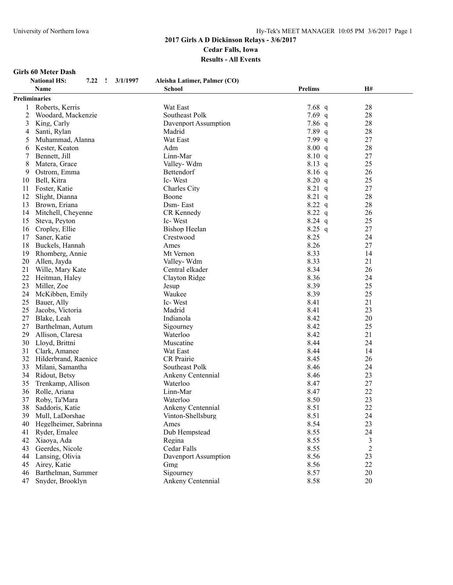# **Girls 60 Meter Dash**

|                | <b>Girls 60 Meter Dash</b>                         |                              |                |           |  |  |  |
|----------------|----------------------------------------------------|------------------------------|----------------|-----------|--|--|--|
|                | <b>National HS:</b><br>7.22<br>3/1/1997<br>$\cdot$ | Aleisha Latimer, Palmer (CO) |                |           |  |  |  |
|                | <b>Name</b>                                        | <b>School</b>                | <b>Prelims</b> | <b>H#</b> |  |  |  |
|                | <b>Preliminaries</b>                               |                              |                |           |  |  |  |
| 1              | Roberts, Kerris                                    | Wat East                     | 7.68 $q$       | 28        |  |  |  |
| $\overline{c}$ | Woodard, Mackenzie                                 | Southeast Polk               | 7.69 $q$       | 28        |  |  |  |
| 3              | King, Carly                                        | Davenport Assumption         | $7.86$ q       | 28        |  |  |  |
| 4              | Santi, Rylan                                       | Madrid                       | 7.89q          | 28        |  |  |  |
| 5              | Muhammad, Alanna                                   | Wat East                     | 7.99 $q$       | 27        |  |  |  |
| 6              | Kester, Keaton                                     | Adm                          | 8.00 q         | 28        |  |  |  |
| 7              | Bennett, Jill                                      | Linn-Mar                     | 8.10 q         | 27        |  |  |  |
| 8              | Matera, Grace                                      | Valley-Wdm                   | $8.13$ q       | 25        |  |  |  |
| 9              | Ostrom, Emma                                       | Bettendorf                   | $8.16$ q       | 26        |  |  |  |
| 10             | Bell, Kitra                                        | Ic-West                      | 8.20 q         | 25        |  |  |  |
| 11             | Foster, Katie                                      | Charles City                 | $8.21$ q       | 27        |  |  |  |
| 12             | Slight, Dianna                                     | Boone                        | $8.21$ q       | 28        |  |  |  |
| 13             | Brown, Eriana                                      | Dsm-East                     | 8.22 q         | 28        |  |  |  |
|                | 14 Mitchell, Cheyenne                              | CR Kennedy                   | 8.22 q         | 26        |  |  |  |
| 15             | Steva, Peyton                                      | Ic-West                      | $8.24$ q       | 25        |  |  |  |
|                | 16 Cropley, Ellie                                  | <b>Bishop Heelan</b>         | $8.25$ q       | 27        |  |  |  |
| 17             | Saner, Katie                                       | Crestwood                    | 8.25           | 24        |  |  |  |
|                | 18 Buckels, Hannah                                 | Ames                         | 8.26           | 27        |  |  |  |
| 19             | Rhomberg, Annie                                    | Mt Vernon                    | 8.33           | 14        |  |  |  |
|                | 20 Allen, Jayda                                    | Valley-Wdm                   | 8.33           | 21        |  |  |  |
| 21             | Wille, Mary Kate                                   | Central elkader              | 8.34           | 26        |  |  |  |
|                | 22 Heitman, Haley                                  | Clayton Ridge                | 8.36           | 24        |  |  |  |
| 23             | Miller, Zoe                                        | Jesup                        | 8.39           | 25        |  |  |  |
| 24             | McKibben, Emily                                    | Waukee                       | 8.39           | 25        |  |  |  |
| 25             | Bauer, Ally                                        | Ic-West                      | 8.41           | 21        |  |  |  |
| 25             | Jacobs, Victoria                                   | Madrid                       | 8.41           | 23        |  |  |  |
| 27             | Blake, Leah                                        | Indianola                    | 8.42           | 20        |  |  |  |
| 27             | Barthelman, Autum                                  | Sigourney                    | 8.42           | 25        |  |  |  |
| 29             | Allison, Claresa                                   | Waterloo                     | 8.42           | 21        |  |  |  |
|                | 30 Lloyd, Brittni                                  | Muscatine                    | 8.44           | 24        |  |  |  |
|                | 31 Clark, Amanee                                   | Wat East                     | 8.44           | 14        |  |  |  |
|                | 32 Hilderbrand, Raenice                            | <b>CR</b> Prairie            | 8.45           | 26        |  |  |  |
| 33             | Milani, Samantha                                   | Southeast Polk               | 8.46           | 24        |  |  |  |
|                | 34 Ridout, Betsy                                   | Ankeny Centennial            | 8.46           | 23        |  |  |  |
| 35             | Trenkamp, Allison                                  | Waterloo                     | 8.47           | 27        |  |  |  |
| 36             | Rolle, Ariana                                      | Linn-Mar                     | 8.47           | 22        |  |  |  |
| 37             | Roby, Ta'Mara                                      | Waterloo                     | 8.50           | 23        |  |  |  |
| 38             | Saddoris, Katie                                    | Ankeny Centennial            | 8.51           | 22        |  |  |  |
| 39             | Mull, LaDorshae                                    | Vinton-Shellsburg            | 8.51           | 24        |  |  |  |
| 40             | Hegelheimer, Sabrinna                              | Ames                         | 8.54           | 23        |  |  |  |

 Hegelheimer, Sabrinna Ames 8.54 23 41 Ryder, Emalee **Dub Hempstead** 8.55 24<br>42 Xiaova, Ada 8.55 3 Xiaoya, Ada Regina 8.55 3 43 Geerdes, Nicole Cedar Falls 8.55 2<br>44 Lansing, Olivia Davenport Assumption 8.56 23

45 Airey, Katie Gmg 8.56 22<br>46 Barthelman, Summer Sigourney 8.57 20 46 Barthelman, Summer Sigourney Sigourney 8.57 20<br>47 Snyder, Brooklyn Ankeny Centennial 8.58 20

47 Snyder, Brooklyn Ankeny Centennial 8.58

14 Davenport Assumption 8.56 23<br>  $Gmg$  8.56 22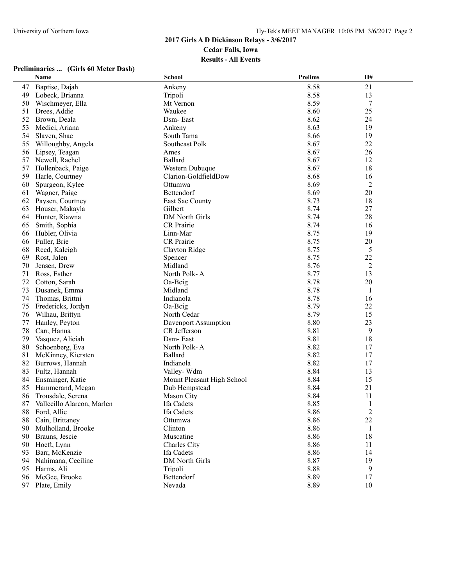|    | Name                          | <b>School</b>              | <b>Prelims</b> | H#             |  |
|----|-------------------------------|----------------------------|----------------|----------------|--|
| 47 | Baptise, Dajah                | Ankeny                     | 8.58           | 21             |  |
| 49 | Lobeck, Brianna               | Tripoli                    | 8.58           | 13             |  |
| 50 | Wischmeyer, Ella              | Mt Vernon                  | 8.59           | 7              |  |
| 51 | Drees, Addie                  | Waukee                     | 8.60           | 25             |  |
| 52 | Brown, Deala                  | Dsm-East                   | 8.62           | 24             |  |
| 53 | Medici, Ariana                | Ankeny                     | 8.63           | 19             |  |
| 54 | Slaven, Shae                  | South Tama                 | 8.66           | 19             |  |
| 55 | Willoughby, Angela            | Southeast Polk             | 8.67           | 22             |  |
| 56 | Lipsey, Teagan                | Ames                       | 8.67           | 26             |  |
| 57 | Newell, Rachel                | Ballard                    | 8.67           | 12             |  |
| 57 | Hollenback, Paige             | Western Dubuque            | 8.67           | 18             |  |
| 59 | Harle, Courtney               | Clarion-GoldfieldDow       | 8.68           | 16             |  |
| 60 | Spurgeon, Kylee               | Ottumwa                    | 8.69           | 2              |  |
| 61 | Wagner, Paige                 | Bettendorf                 | 8.69           | 20             |  |
| 62 | Paysen, Courtney              | East Sac County            | 8.73           | 18             |  |
| 63 | Houser, Makayla               | Gilbert                    | 8.74           | 27             |  |
| 64 | Hunter, Riawna                | DM North Girls             | 8.74           | 28             |  |
| 65 | Smith, Sophia                 | CR Prairie                 | 8.74           | 16             |  |
| 66 | Hubler, Olivia                | Linn-Mar                   | 8.75           | 19             |  |
| 66 | Fuller, Brie                  | CR Prairie                 | 8.75           | 20             |  |
| 68 | Reed, Kaleigh                 | Clayton Ridge              | 8.75           | 5              |  |
| 69 | Rost, Jalen                   | Spencer                    | 8.75           | 22             |  |
| 70 | Jensen, Drew                  | Midland                    | 8.76           | 2              |  |
| 71 | Ross, Esther                  | North Polk-A               | 8.77           | 13             |  |
| 72 | Cotton, Sarah                 | Oa-Beig                    | 8.78           | 20             |  |
| 73 | Dusanek, Emma                 | Midland                    | 8.78           | 1              |  |
| 74 | Thomas, Brittni               | Indianola                  | 8.78           | 16             |  |
| 75 | Fredericks, Jordyn            | $Oa-Bcig$                  | 8.79           | 22             |  |
| 76 | Wilhau, Brittyn               | North Cedar                | 8.79           | 15             |  |
| 77 | Hanley, Peyton                | Davenport Assumption       | 8.80           | 23             |  |
| 78 | Carr, Hanna                   | CR Jefferson               | 8.81           | 9              |  |
| 79 | Vasquez, Aliciah              | Dsm-East                   | 8.81           | 18             |  |
| 80 | Schoenberg, Eva               | North Polk-A               | 8.82           | 17             |  |
| 81 | McKinney, Kiersten            | <b>Ballard</b>             | 8.82           | 17             |  |
| 82 | Burrows, Hannah               | Indianola                  | 8.82           | 17             |  |
| 83 | Fultz, Hannah                 | Valley-Wdm                 | 8.84           | 13             |  |
| 84 | Ensminger, Katie              | Mount Pleasant High School | 8.84           | 15             |  |
| 85 | Hammerand, Megan              | Dub Hempstead              | 8.84           | 21             |  |
| 86 | Trousdale, Serena             | Mason City                 | 8.84           | 11             |  |
|    | 87 Vallecillo Alarcon, Marlen | Ifa Cadets                 | 8.85           | $\mathbf{1}$   |  |
| 88 | Ford, Allie                   | Ifa Cadets                 | 8.86           | $\overline{c}$ |  |
| 88 | Cain, Brittaney               | Ottumwa                    | 8.86           | 22             |  |
| 90 | Mulholland, Brooke            | Clinton                    | 8.86           | 1              |  |
| 90 | Brauns, Jescie                | Muscatine                  | 8.86           | 18             |  |
| 90 | Hoeft, Lynn                   | Charles City               | 8.86           | 11             |  |
| 93 | Barr, McKenzie                | Ifa Cadets                 | 8.86           | 14             |  |
| 94 | Nahimana, Ceciline            | DM North Girls             | 8.87           | 19             |  |
| 95 | Harms, Ali                    | Tripoli                    | 8.88           | 9              |  |
| 96 | McGee, Brooke                 | Bettendorf                 | 8.89           | 17             |  |
| 97 | Plate, Emily                  | Nevada                     | 8.89           | 10             |  |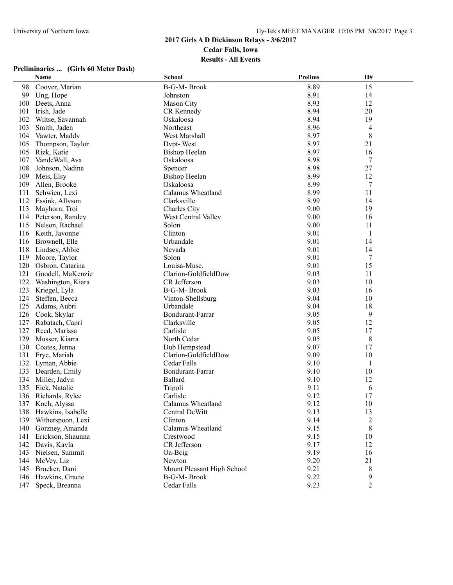|     | Name                  | <b>School</b>              | <b>Prelims</b> | H#             |  |
|-----|-----------------------|----------------------------|----------------|----------------|--|
| 98  | Coover, Marian        | B-G-M-Brook                | 8.89           | 15             |  |
| 99  | Ung, Hope             | Johnston                   | 8.91           | 14             |  |
| 100 | Deets, Anna           | <b>Mason City</b>          | 8.93           | 12             |  |
| 101 | Irish, Jade           | CR Kennedy                 | 8.94           | 20             |  |
| 102 | Wiltse, Savannah      | Oskaloosa                  | 8.94           | 19             |  |
| 103 | Smith, Jaden          | Northeast                  | 8.96           | 4              |  |
| 104 | Vawter, Maddy         | West Marshall              | 8.97           | 8              |  |
| 105 | Thompson, Taylor      | Dvpt-West                  | 8.97           | 21             |  |
| 105 | Rizk, Katie           | <b>Bishop Heelan</b>       | 8.97           | 16             |  |
| 107 | VandeWall, Ava        | Oskaloosa                  | 8.98           | 7              |  |
| 108 | Johnson, Nadine       | Spencer                    | 8.98           | 27             |  |
| 109 | Meis, Elsy            | <b>Bishop Heelan</b>       | 8.99           | 12             |  |
| 109 | Allen, Brooke         | Oskaloosa                  | 8.99           | 7              |  |
| 111 | Schwien, Lexi         | Calamus Wheatland          | 8.99           | 11             |  |
| 112 | Essink, Allyson       | Clarksville                | 8.99           | 14             |  |
| 113 | Mayhorn, Troi         | Charles City               | 9.00           | 19             |  |
| 114 | Peterson, Randey      | West Central Valley        | 9.00           | 16             |  |
| 115 | Nelson, Rachael       | Solon                      | 9.00           | 11             |  |
| 116 | Keith, Javonne        | Clinton                    | 9.01           | $\mathbf{1}$   |  |
| 116 | Brownell, Elle        | Urbandale                  | 9.01           | 14             |  |
| 118 | Lindsey, Abbie        | Nevada                     | 9.01           | 14             |  |
| 119 | Moore, Taylor         | Solon                      | 9.01           | 7              |  |
| 120 | Osbron, Catarina      | Louisa-Musc.               | 9.01           | 15             |  |
| 121 | Goodell, MaKenzie     | Clarion-GoldfieldDow       | 9.03           | 11             |  |
| 122 | Washington, Kiara     | CR Jefferson               | 9.03           | 10             |  |
| 123 | Kriegel, Lyla         | B-G-M-Brook                | 9.03           | 16             |  |
| 124 | Steffen, Becca        | Vinton-Shellsburg          | 9.04           | 10             |  |
| 125 | Adams, Aubri          | Urbandale                  | 9.04           | 18             |  |
| 126 | Cook, Skylar          | Bondurant-Farrar           | 9.05           | 9              |  |
| 127 | Rabatach, Capri       | Clarksville                | 9.05           | 12             |  |
| 127 | Reed, Marissa         | Carlisle                   | 9.05           | 17             |  |
| 129 | Musser, Kiarra        | North Cedar                | 9.05           | 8              |  |
| 130 | Coates, Jenna         | Dub Hempstead              | 9.07           | 17             |  |
| 131 | Frye, Mariah          | Clarion-GoldfieldDow       | 9.09           | 10             |  |
| 132 | Lyman, Abbie          | Cedar Falls                | 9.10           | 1              |  |
| 133 | Dearden, Emily        | Bondurant-Farrar           | 9.10           | 10             |  |
| 134 | Miller, Jadyn         | Ballard                    | 9.10           | 12             |  |
| 135 | Eick, Natalie         | Tripoli                    | 9.11           | 6              |  |
| 136 | Richards, Rylee       | Carlisle                   | 9.12           | 17             |  |
|     | 137 Koch, Alyssa      | Calamus Wheatland          | 9.12           | 10             |  |
|     | 138 Hawkins, Isabelle | Central DeWitt             | 9.13           | 13             |  |
| 139 | Witherspoon, Lexi     | Clinton                    | 9.14           | $\overline{c}$ |  |
| 140 | Gorzney, Amanda       | Calamus Wheatland          | 9.15           | 8              |  |
| 141 | Erickson, Shaunna     | Crestwood                  | 9.15           | 10             |  |
| 142 | Davis, Kayla          | CR Jefferson               | 9.17           | 12             |  |
| 143 | Nielsen, Summit       | Oa-Beig                    | 9.19           | 16             |  |
| 144 | McVey, Liz            | Newton                     | 9.20           | 21             |  |
| 145 | Broeker, Dani         | Mount Pleasant High School | 9.21           | 8              |  |
| 146 | Hawkins, Gracie       | B-G-M-Brook                | 9.22           | 9              |  |
|     | 147 Speck, Breanna    | Cedar Falls                | 9.23           | $\overline{2}$ |  |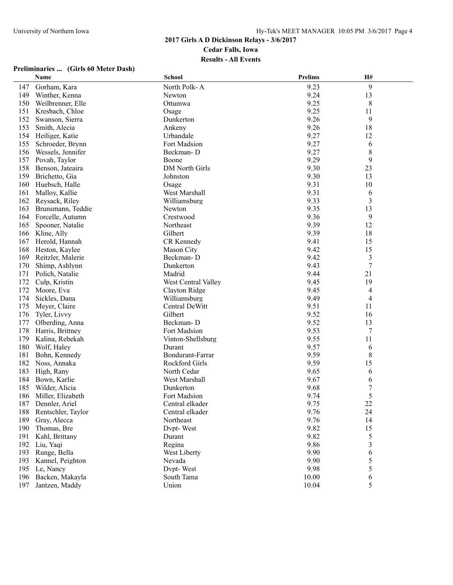|     | Name               | <b>School</b>         | <b>Prelims</b> | H#               |  |
|-----|--------------------|-----------------------|----------------|------------------|--|
| 147 | Gorham, Kara       | North Polk-A          | 9.23           | 9                |  |
| 149 | Winther, Kenna     | Newton                | 9.24           | 13               |  |
| 150 | Weilbrenner, Elle  | Ottumwa               | 9.25           | 8                |  |
| 151 | Kresbach, Chloe    | Osage                 | 9.25           | 11               |  |
| 152 | Swanson, Sierra    | Dunkerton             | 9.26           | 9                |  |
| 153 | Smith, Alecia      | Ankeny                | 9.26           | 18               |  |
| 154 | Heiliger, Katie    | Urbandale             | 9.27           | 12               |  |
| 155 | Schroeder, Brynn   | Fort Madsion          | 9.27           | 6                |  |
| 156 | Wessels, Jennifer  | Beckman-D             | 9.27           | 8                |  |
| 157 | Povah, Taylor      | Boone                 | 9.29           | 9                |  |
| 158 | Benson, Jateaira   | DM North Girls        | 9.30           | 23               |  |
| 159 | Brichetto, Gia     | Johnston              | 9.30           | 13               |  |
| 160 | Huebsch, Halle     | Osage                 | 9.31           | 10               |  |
| 161 | Malloy, Kallie     | West Marshall         | 9.31           | 6                |  |
| 162 | Reysack, Riley     | Williamsburg          | 9.33           | $\mathfrak{Z}$   |  |
| 163 | Brunsmann, Teddie  | Newton                | 9.35           | 13               |  |
| 164 | Forcelle, Autumn   | Crestwood             | 9.36           | 9                |  |
| 165 | Spooner, Natalie   | Northeast             | 9.39           | 12               |  |
| 166 | Kline, Ally        | Gilbert               | 9.39           | 18               |  |
| 167 | Herold, Hannah     | CR Kennedy            | 9.41           | 15               |  |
| 168 | Heston, Kaylee     | Mason City            | 9.42           | 15               |  |
| 169 | Reitzler, Malerie  | Beckman-D             | 9.42           | 3                |  |
| 170 | Shimp, Ashlynn     | Dunkerton             | 9.43           | $\tau$           |  |
| 171 | Polich, Natalie    | Madrid                | 9.44           | 21               |  |
| 172 | Culp, Kristin      | West Central Valley   | 9.45           | 19               |  |
| 172 | Moore, Eva         | Clayton Ridge         | 9.45           | 4                |  |
| 174 | Sickles, Dana      | Williamsburg          | 9.49           | 4                |  |
| 175 | Meyer, Claire      | Central DeWitt        | 9.51           | 11               |  |
| 176 | Tyler, Livvy       | Gilbert               | 9.52           | 16               |  |
| 177 | Olberding, Anna    | Beckman-D             | 9.52           | 13               |  |
| 178 | Harris, Brittney   | Fort Madsion          | 9.53           | 7                |  |
| 179 | Kalina, Rebekah    | Vinton-Shellsburg     | 9.55           | 11               |  |
| 180 | Wolf, Haley        | Durant                | 9.57           | 6                |  |
| 181 | Bohn, Kennedy      | Bondurant-Farrar      | 9.59           | 8                |  |
| 182 | Noss, Annaka       | <b>Rockford Girls</b> | 9.59           | 15               |  |
| 183 | High, Rany         | North Cedar           | 9.65           | 6                |  |
| 184 | Bown, Karlie       | West Marshall         | 9.67           | 6                |  |
| 185 | Wilder, Alicia     | Dunkerton             | 9.68           | $\boldsymbol{7}$ |  |
| 186 | Miller, Elizabeth  | Fort Madsion          | 9.74           | 5                |  |
|     | 187 Dennler, Ariel | Central elkader       | 9.75           | 22               |  |
| 188 | Rentschler, Taylor | Central elkader       | 9.76           | 24               |  |
| 189 | Gray, Alecca       | Northeast             | 9.76           | 14               |  |
| 190 | Thomas, Bre        | Dvpt-West             | 9.82           | 15               |  |
| 191 | Kahl, Brittany     | Durant                | 9.82           | 5                |  |
| 192 | Liu, Yaqi          | Regina                | 9.86           | 3                |  |
| 193 | Runge, Bella       | West Liberty          | 9.90           | 6                |  |
| 193 | Kannel, Peighton   | Nevada                | 9.90           | 5                |  |
| 195 | Le, Nancy          | Dvpt-West             | 9.98           | 5                |  |
| 196 | Backen, Makayla    | South Tama            | 10.00          | 6                |  |
| 197 | Jantzen, Maddy     | Union                 | 10.04          | 5                |  |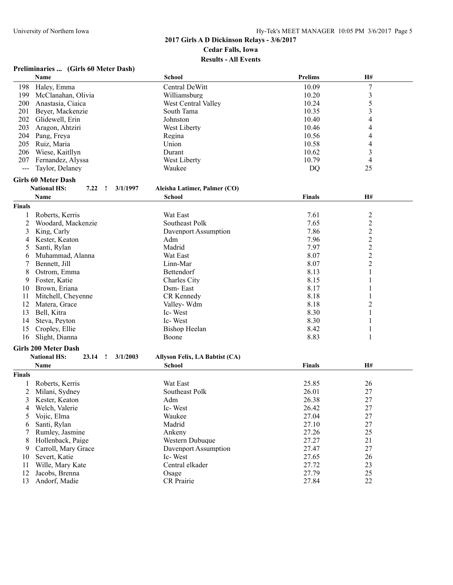|               | Name                                                     | <b>School</b>                  | <b>Prelims</b> | H#                      |  |
|---------------|----------------------------------------------------------|--------------------------------|----------------|-------------------------|--|
| 198           | Haley, Emma                                              | Central DeWitt                 | 10.09          | $\boldsymbol{7}$        |  |
| 199           | McClanahan, Olivia                                       | Williamsburg                   | 10.20          | $\mathfrak{Z}$          |  |
| 200           | Anastasia, Ciaica                                        | West Central Valley            | 10.24          | 5                       |  |
| 201           | Beyer, Mackenzie                                         | South Tama                     | 10.35          | 3                       |  |
| 202           | Glidewell, Erin                                          | Johnston                       | 10.40          | 4                       |  |
| 203           | Aragon, Ahtziri                                          | West Liberty                   | 10.46          | 4                       |  |
|               | 204 Pang, Freya                                          | Regina                         | 10.56          | 4                       |  |
| 205           | Ruiz, Maria                                              | Union                          | 10.58          | 4                       |  |
| 206           | Wiese, Kaitllyn                                          | Durant                         | 10.62          | 3                       |  |
| 207           | Fernandez, Alyssa                                        | West Liberty                   | 10.79          | 4                       |  |
| $\frac{1}{2}$ | Taylor, Delaney                                          | Waukee                         | DQ             | 25                      |  |
|               |                                                          |                                |                |                         |  |
|               | <b>Girls 60 Meter Dash</b>                               |                                |                |                         |  |
|               | <b>National HS:</b><br>7.22<br>$\mathbf{r}$<br>3/1/1997  | Aleisha Latimer, Palmer (CO)   |                |                         |  |
|               | Name                                                     | <b>School</b>                  | <b>Finals</b>  | H#                      |  |
| <b>Finals</b> |                                                          |                                |                |                         |  |
| 1             | Roberts, Kerris                                          | Wat East                       | 7.61           | $\overline{\mathbf{c}}$ |  |
| 2             | Woodard, Mackenzie                                       | Southeast Polk                 | 7.65           | $\overline{\mathbf{c}}$ |  |
| 3             | King, Carly                                              | Davenport Assumption           | 7.86           | $\overline{c}$          |  |
| 4             | Kester, Keaton                                           | Adm                            | 7.96           |                         |  |
| 5             | Santi, Rylan                                             | Madrid                         | 7.97           |                         |  |
| 6             | Muhammad, Alanna                                         | Wat East                       | 8.07           | $\frac{2}{2}$           |  |
|               | Bennett, Jill                                            | Linn-Mar                       | 8.07           | $\overline{c}$          |  |
| 8             | Ostrom, Emma                                             | Bettendorf                     | 8.13           | 1                       |  |
|               | Foster, Katie                                            |                                | 8.15           | 1                       |  |
| 9             |                                                          | Charles City                   |                |                         |  |
| 10            | Brown, Eriana                                            | Dsm-East                       | 8.17           | 1                       |  |
| 11            | Mitchell, Cheyenne                                       | CR Kennedy                     | 8.18           | 1                       |  |
| 12            | Matera, Grace                                            | Valley-Wdm                     | 8.18           | $\overline{c}$          |  |
| 13            | Bell, Kitra                                              | Ic-West                        | 8.30           | 1                       |  |
| 14            | Steva, Peyton                                            | Ic-West                        | 8.30           | 1                       |  |
| 15            | Cropley, Ellie                                           | <b>Bishop Heelan</b>           | 8.42           | 1                       |  |
| 16            | Slight, Dianna                                           | Boone                          | 8.83           | 1                       |  |
|               | <b>Girls 200 Meter Dash</b>                              |                                |                |                         |  |
|               | <b>National HS:</b><br>23.14<br>$\mathbf{I}$<br>3/1/2003 | Allyson Felix, LA Babtist (CA) |                |                         |  |
|               | Name                                                     | <b>School</b>                  | Finals         | H#                      |  |
| <b>Finals</b> |                                                          |                                |                |                         |  |
|               | Roberts, Kerris                                          | Wat East                       | 25.85          | 26                      |  |
| 2             | Milani, Sydney                                           | Southeast Polk                 | 26.01          | 27                      |  |
| 3             | Kester, Keaton                                           | Adm                            | 26.38          | 27                      |  |
| 4             | Welch, Valerie                                           | Ic-West                        | 26.42          | 27                      |  |
| 5             | Vojic, Elma                                              | Waukee                         | 27.04          | 27                      |  |
|               | Santi, Rylan                                             | Madrid                         | 27.10          | 27                      |  |
| 6             |                                                          |                                |                |                         |  |
|               | Rumley, Jasmine                                          | Ankeny                         | 27.26          | 25                      |  |
| 8             | Hollenback, Paige                                        | Western Dubuque                | 27.27          | 21                      |  |
| 9             | Carroll, Mary Grace                                      | Davenport Assumption           | 27.47          | 27                      |  |
| 10            | Severt, Katie                                            | Ic-West                        | 27.65          | 26                      |  |
| 11            | Wille, Mary Kate                                         | Central elkader                | 27.72          | 23                      |  |
| 12            | Jacobs, Brenna                                           | Osage                          | 27.79          | 25                      |  |
| 13            | Andorf, Madie                                            | <b>CR</b> Prairie              | 27.84          | 22                      |  |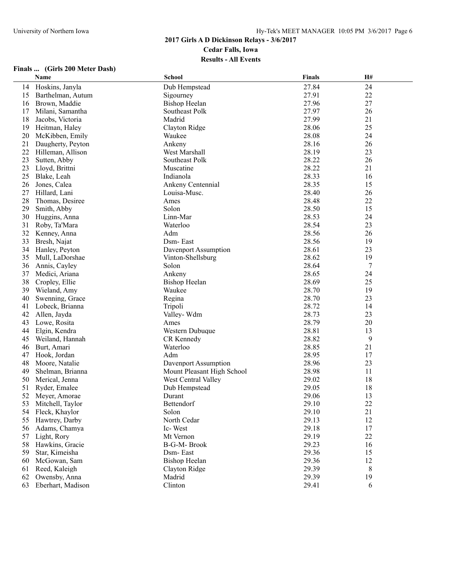#### **2017 Girls A D Dickinson Relays - 3/6/2017**

**Cedar Falls, Iowa**

#### **Results - All Events**

|          | Name                          | School                                                   | <b>Finals</b>  | H#       |
|----------|-------------------------------|----------------------------------------------------------|----------------|----------|
| 14       | Hoskins, Janyla               | Dub Hempstead                                            | 27.84          | 24       |
| 15       | Barthelman, Autum             | Sigourney                                                | 27.91          | 22       |
| 16       | Brown, Maddie                 | <b>Bishop Heelan</b>                                     | 27.96          | 27       |
| 17       | Milani, Samantha              | Southeast Polk                                           | 27.97          | 26       |
| 18       | Jacobs, Victoria              | Madrid                                                   | 27.99          | 21       |
| 19       | Heitman, Haley                | Clayton Ridge                                            | 28.06          | 25       |
| 20       | McKibben, Emily               | Waukee                                                   | 28.08          | 24       |
| 21       | Daugherty, Peyton             | Ankeny                                                   | 28.16          | 26       |
| 22       | Hilleman, Allison             | West Marshall                                            | 28.19          | 23       |
| 23       | Sutten, Abby                  | Southeast Polk                                           | 28.22          | 26       |
| 23       | Lloyd, Brittni                | Muscatine                                                | 28.22          | 21       |
| 25       | Blake, Leah                   | Indianola                                                | 28.33          | 16       |
| 26       | Jones, Calea                  | Ankeny Centennial                                        | 28.35          | 15       |
| 27       | Hillard, Lani                 | Louisa-Musc.                                             | 28.40          | 26       |
| 28       | Thomas, Desiree               | Ames                                                     | 28.48          | 22       |
| 29       | Smith, Abby                   | Solon                                                    | 28.50          | 15       |
| 30       | Huggins, Anna                 | Linn-Mar                                                 | 28.53          | 24       |
| 31       | Roby, Ta'Mara                 | Waterloo                                                 | 28.54          | 23       |
| 32       | Kenney, Anna                  | Adm                                                      | 28.56          | 26       |
| 33       | Bresh, Najat                  | Dsm-East                                                 | 28.56          | 19       |
| 34       | Hanley, Peyton                | Davenport Assumption                                     | 28.61          | 23       |
| 35       | Mull, LaDorshae               | Vinton-Shellsburg                                        | 28.62          | 19       |
| 36       | Annis, Cayley                 | Solon                                                    | 28.64          | 7        |
| 37       | Medici, Ariana                | Ankeny                                                   | 28.65          | 24       |
| 38       | Cropley, Ellie                | <b>Bishop Heelan</b>                                     | 28.69          | 25       |
| 39       | Wieland, Amy                  | Waukee                                                   | 28.70          | 19       |
| 40       | Swenning, Grace               | Regina                                                   | 28.70          | 23       |
| 41       | Lobeck, Brianna               | Tripoli                                                  | 28.72          | 14       |
| 42       | Allen, Jayda                  | Valley-Wdm                                               | 28.73          | 23       |
|          |                               |                                                          | 28.79          | 20       |
| 43<br>44 | Lowe, Rosita<br>Elgin, Kendra | Ames<br>Western Dubuque                                  | 28.81          | 13       |
| 45       |                               | CR Kennedy                                               | 28.82          | 9        |
|          | Weiland, Hannah               | Waterloo                                                 | 28.85          |          |
| 46       | Burt, Amari                   |                                                          | 28.95          | 21       |
| 47       | Hook, Jordan                  | Adm                                                      | 28.96          | 17<br>23 |
| 48       | Moore, Natalie                | Davenport Assumption                                     |                |          |
| 49       | Shelman, Brianna              | Mount Pleasant High School<br><b>West Central Valley</b> | 28.98<br>29.02 | 11<br>18 |
| 50       | Merical, Jenna                |                                                          |                | 18       |
| 51       | Ryder, Emalee                 | Dub Hempstead                                            | 29.05          |          |
| 52       | Meyer, Amorae                 | Durant                                                   | 29.06          | 13       |
| 53       | Mitchell, Taylor              | Bettendorf                                               | 29.10          | 22       |
| 54       | Fleck, Khaylor                | Solon                                                    | 29.10          | 21       |
| 55       | Hawtrey, Darby                | North Cedar                                              | 29.13          | 12       |
| 56       | Adams, Chamya                 | Ic-West                                                  | 29.18          | 17       |
| 57       | Light, Rory                   | Mt Vernon                                                | 29.19          | 22       |
| 58       | Hawkins, Gracie               | B-G-M-Brook                                              | 29.23          | 16       |
| 59       | Star, Kimeisha                | Dsm-East                                                 | 29.36          | 15       |
| 60       | McGowan, Sam                  | <b>Bishop Heelan</b>                                     | 29.36          | 12       |
| 61       | Reed, Kaleigh                 | Clayton Ridge                                            | 29.39          | 8        |
| 62       | Owensby, Anna                 | Madrid                                                   | 29.39          | 19       |
| 63       | Eberhart, Madison             | Clinton                                                  | 29.41          | 6        |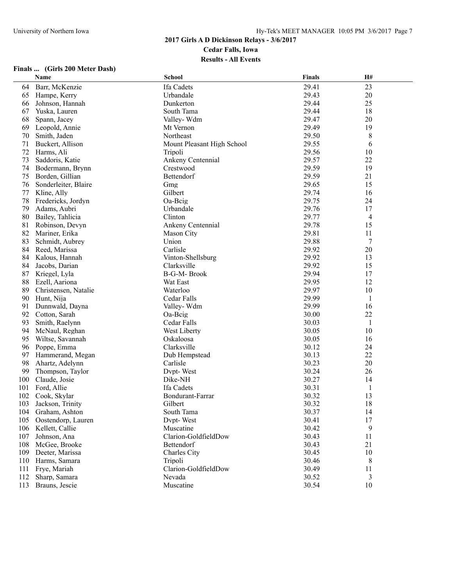|     | Name                 | <b>School</b>              | <b>Finals</b> | H# |
|-----|----------------------|----------------------------|---------------|----|
| 64  | Barr, McKenzie       | Ifa Cadets                 | 29.41         | 23 |
| 65  | Hampe, Kerry         | Urbandale                  | 29.43         | 20 |
| 66  | Johnson, Hannah      | Dunkerton                  | 29.44         | 25 |
| 67  | Yuska, Lauren        | South Tama                 | 29.44         | 18 |
| 68  | Spann, Jacey         | Valley-Wdm                 | 29.47         | 20 |
| 69  | Leopold, Annie       | Mt Vernon                  | 29.49         | 19 |
| 70  | Smith, Jaden         | Northeast                  | 29.50         | 8  |
| 71  | Buckert, Allison     | Mount Pleasant High School | 29.55         | 6  |
| 72  | Harms, Ali           | Tripoli                    | 29.56         | 10 |
| 73  | Saddoris, Katie      | Ankeny Centennial          | 29.57         | 22 |
| 74  | Bodermann, Brynn     | Crestwood                  | 29.59         | 19 |
| 75  | Borden, Gillian      | Bettendorf                 | 29.59         | 21 |
| 76  | Sonderleiter, Blaire | Gmg                        | 29.65         | 15 |
| 77  | Kline, Ally          | Gilbert                    | 29.74         | 16 |
| 78  | Fredericks, Jordyn   | Oa-Beig                    | 29.75         | 24 |
| 79  | Adams, Aubri         | Urbandale                  | 29.76         | 17 |
| 80  | Bailey, Tahlicia     | Clinton                    | 29.77         | 4  |
| 81  | Robinson, Devyn      | Ankeny Centennial          | 29.78         | 15 |
| 82  | Mariner, Erika       | Mason City                 | 29.81         | 11 |
| 83  | Schmidt, Aubrey      | Union                      | 29.88         | 7  |
| 84  | Reed, Marissa        | Carlisle                   | 29.92         | 20 |
| 84  | Kalous, Hannah       | Vinton-Shellsburg          | 29.92         | 13 |
| 84  | Jacobs, Darian       | Clarksville                | 29.92         | 15 |
| 87  | Kriegel, Lyla        | B-G-M-Brook                | 29.94         | 17 |
| 88  | Ezell, Aariona       | Wat East                   | 29.95         | 12 |
| 89  | Christensen, Natalie | Waterloo                   | 29.97         | 10 |
| 90  | Hunt, Nija           | Cedar Falls                | 29.99         | 1  |
| 91  | Dunnwald, Dayna      | Valley-Wdm                 | 29.99         | 16 |
| 92  | Cotton, Sarah        | Oa-Beig                    | 30.00         | 22 |
| 93  | Smith, Raelynn       | Cedar Falls                | 30.03         | 1  |
| 94  | McNaul, Reghan       | West Liberty               | 30.05         | 10 |
| 95  | Wiltse, Savannah     | Oskaloosa                  | 30.05         | 16 |
| 96  | Poppe, Emma          | Clarksville                | 30.12         | 24 |
| 97  | Hammerand, Megan     | Dub Hempstead              | 30.13         | 22 |
| 98  | Ahartz, Adelynn      | Carlisle                   | 30.23         | 20 |
| 99  | Thompson, Taylor     | Dvpt-West                  | 30.24         | 26 |
| 100 | Claude, Josie        | Dike-NH                    | 30.27         | 14 |
| 101 | Ford, Allie          | Ifa Cadets                 | 30.31         | 1  |
| 102 | Cook, Skylar         | Bondurant-Farrar           | 30.32         | 13 |
|     | 103 Jackson, Trinity | Gilbert                    | 30.32         | 18 |
|     | 104 Graham, Ashton   | South Tama                 | 30.37         | 14 |
| 105 | Oostendorp, Lauren   | Dvpt-West                  | 30.41         | 17 |
| 106 | Kellett, Callie      | Muscatine                  | 30.42         | 9  |
| 107 | Johnson, Ana         | Clarion-GoldfieldDow       | 30.43         | 11 |
| 108 | McGee, Brooke        | Bettendorf                 | 30.43         | 21 |
| 109 | Deeter, Marissa      | Charles City               | 30.45         | 10 |
| 110 | Harms, Samara        | Tripoli                    | 30.46         | 8  |
| 111 | Frye, Mariah         | Clarion-GoldfieldDow       | 30.49         | 11 |
| 112 | Sharp, Samara        | Nevada                     | 30.52         | 3  |
|     | 113 Brauns, Jescie   | Muscatine                  | 30.54         | 10 |
|     |                      |                            |               |    |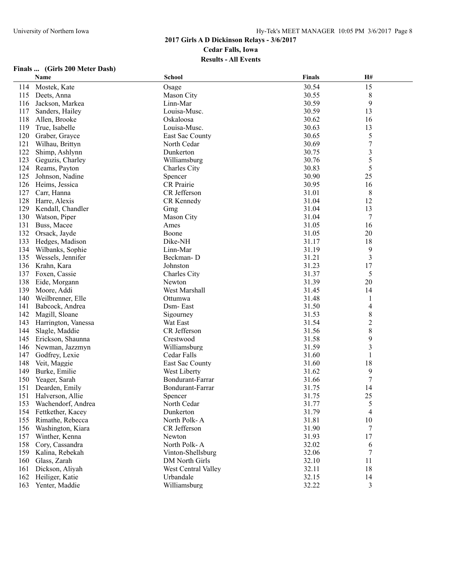|     | Name                   | <b>School</b>       | <b>Finals</b> | <b>H#</b>      |  |
|-----|------------------------|---------------------|---------------|----------------|--|
| 114 | Mostek, Kate           | Osage               | 30.54         | 15             |  |
| 115 | Deets, Anna            | Mason City          | 30.55         | 8              |  |
| 116 | Jackson, Markea        | Linn-Mar            | 30.59         | 9              |  |
| 117 | Sanders, Hailey        | Louisa-Musc.        | 30.59         | 13             |  |
| 118 | Allen, Brooke          | Oskaloosa           | 30.62         | 16             |  |
| 119 | True, Isabelle         | Louisa-Musc.        | 30.63         | 13             |  |
| 120 | Graber, Grayce         | East Sac County     | 30.65         | 5              |  |
| 121 | Wilhau, Brittyn        | North Cedar         | 30.69         | 7              |  |
| 122 | Shimp, Ashlynn         | Dunkerton           | 30.75         | $\mathfrak{Z}$ |  |
| 123 | Geguzis, Charley       | Williamsburg        | 30.76         | 5              |  |
| 124 | Reams, Payton          | Charles City        | 30.83         | 5              |  |
| 125 | Johnson, Nadine        | Spencer             | 30.90         | 25             |  |
| 126 | Heims, Jessica         | CR Prairie          | 30.95         | 16             |  |
| 127 | Carr, Hanna            | CR Jefferson        | 31.01         | 8              |  |
| 128 | Harre, Alexis          | CR Kennedy          | 31.04         | 12             |  |
| 129 | Kendall, Chandler      | Gmg                 | 31.04         | 13             |  |
| 130 | Watson, Piper          | Mason City          | 31.04         | 7              |  |
| 131 | Buss, Macee            | Ames                | 31.05         | 16             |  |
| 132 | Orsack, Jayde          | Boone               | 31.05         | 20             |  |
| 133 | Hedges, Madison        | Dike-NH             | 31.17         | 18             |  |
| 134 | Wilbanks, Sophie       | Linn-Mar            | 31.19         | 9              |  |
| 135 | Wessels, Jennifer      | Beckman-D           | 31.21         | 3              |  |
| 136 | Krahn, Kara            | Johnston            | 31.23         | 17             |  |
| 137 | Foxen, Cassie          | Charles City        | 31.37         | 5              |  |
| 138 | Eide, Morgann          | Newton              | 31.39         | 20             |  |
| 139 | Moore, Addi            | West Marshall       | 31.45         | 14             |  |
| 140 | Weilbrenner, Elle      | Ottumwa             | 31.48         | 1              |  |
| 141 | Babcock, Andrea        | Dsm-East            | 31.50         | 4              |  |
| 142 | Magill, Sloane         | Sigourney           | 31.53         | $\,8\,$        |  |
| 143 | Harrington, Vanessa    | Wat East            | 31.54         | $\overline{c}$ |  |
| 144 | Slagle, Maddie         | CR Jefferson        | 31.56         | $\,$ $\,$      |  |
| 145 | Erickson, Shaunna      | Crestwood           | 31.58         | 9              |  |
| 146 | Newman, Jazzmyn        | Williamsburg        | 31.59         | 3              |  |
| 147 | Godfrey, Lexie         | Cedar Falls         | 31.60         | 1              |  |
| 148 | Veit, Maggie           | East Sac County     | 31.60         | 18             |  |
| 149 | Burke, Emilie          | West Liberty        | 31.62         | 9              |  |
| 150 | Yeager, Sarah          | Bondurant-Farrar    | 31.66         | $\tau$         |  |
| 151 | Dearden, Emily         | Bondurant-Farrar    | 31.75         | 14             |  |
| 151 | Halverson, Allie       | Spencer             | 31.75         | 25             |  |
|     | 153 Wachendorf, Andrea | North Cedar         | 31.77         | 5              |  |
| 154 | Fettkether, Kacey      | Dunkerton           | 31.79         | 4              |  |
| 155 | Rimathe, Rebecca       | North Polk-A        | 31.81         | 10             |  |
| 156 | Washington, Kiara      | CR Jefferson        | 31.90         | 7              |  |
| 157 | Winther, Kenna         | Newton              | 31.93         | 17             |  |
| 158 | Cory, Cassandra        | North Polk-A        | 32.02         | 6              |  |
| 159 | Kalina, Rebekah        | Vinton-Shellsburg   | 32.06         | 7              |  |
| 160 | Glass, Zarah           | DM North Girls      | 32.10         | 11             |  |
| 161 | Dickson, Aliyah        | West Central Valley | 32.11         | 18             |  |
| 162 | Heiliger, Katie        | Urbandale           | 32.15         | 14             |  |
| 163 | Yenter, Maddie         | Williamsburg        | 32.22         | 3              |  |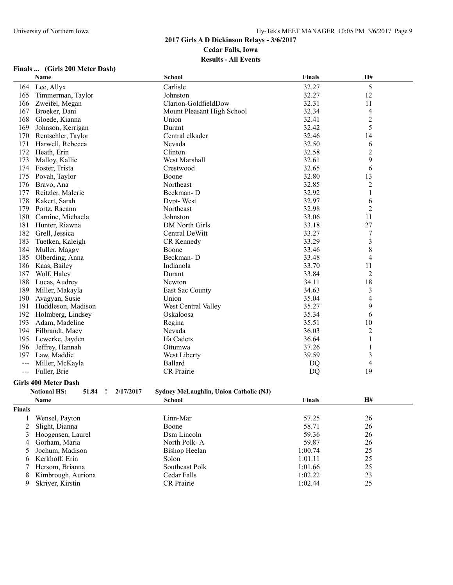|               | Name                                                  | <b>School</b>                          | Finals        | H#             |  |
|---------------|-------------------------------------------------------|----------------------------------------|---------------|----------------|--|
| 164           | Lee, Allyx                                            | Carlisle                               | 32.27         | 5              |  |
| 165           | Timmerman, Taylor                                     | Johnston                               | 32.27         | 12             |  |
| 166           | Zweifel, Megan                                        | Clarion-GoldfieldDow                   | 32.31         | 11             |  |
| 167           | Broeker, Dani                                         | Mount Pleasant High School             | 32.34         | 4              |  |
| 168           | Gloede, Kianna                                        | Union                                  | 32.41         | $\overline{2}$ |  |
| 169           | Johnson, Kerrigan                                     | Durant                                 | 32.42         | 5              |  |
| 170           | Rentschler, Taylor                                    | Central elkader                        | 32.46         | 14             |  |
| 171           | Harwell, Rebecca                                      | Nevada                                 | 32.50         | 6              |  |
| 172           | Heath, Erin                                           | Clinton                                | 32.58         | $\overline{c}$ |  |
| 173           | Malloy, Kallie                                        | West Marshall                          | 32.61         | 9              |  |
| 174           | Foster, Trista                                        | Crestwood                              | 32.65         | 6              |  |
| 175           | Povah, Taylor                                         | Boone                                  | 32.80         | 13             |  |
| 176           | Bravo, Ana                                            | Northeast                              | 32.85         | $\sqrt{2}$     |  |
| 177           | Reitzler, Malerie                                     | Beckman-D                              | 32.92         | $\mathbf{1}$   |  |
| 178           | Kakert, Sarah                                         | Dvpt-West                              | 32.97         | 6              |  |
| 179           | Portz, Raeann                                         | Northeast                              | 32.98         | 2              |  |
| 180           | Carnine, Michaela                                     | Johnston                               | 33.06         | 11             |  |
| 181           | Hunter, Riawna                                        | DM North Girls                         | 33.18         | 27             |  |
| 182           | Grell, Jessica                                        | Central DeWitt                         | 33.27         | 7              |  |
| 183           | Tuetken, Kaleigh                                      | CR Kennedy                             | 33.29         | $\mathfrak{Z}$ |  |
| 184           | Muller, Maggy                                         | Boone                                  | 33.46         | 8              |  |
| 185           | Olberding, Anna                                       | Beckman-D                              | 33.48         | 4              |  |
| 186           | Kaas, Bailey                                          | Indianola                              | 33.70         | 11             |  |
| 187           | Wolf, Haley                                           | Durant                                 | 33.84         | 2              |  |
| 188           | Lucas, Audrey                                         | Newton                                 | 34.11         | 18             |  |
| 189           | Miller, Makayla                                       | East Sac County                        | 34.63         | 3              |  |
| 190           | Avagyan, Susie                                        | Union                                  | 35.04         | 4              |  |
| 191           | Huddleson, Madison                                    | West Central Valley                    | 35.27         | 9              |  |
| 192           | Holmberg, Lindsey                                     | Oskaloosa                              | 35.34         | 6              |  |
| 193           | Adam, Madeline                                        | Regina                                 | 35.51         | 10             |  |
| 194           | Filbrandt, Macy                                       | Nevada                                 | 36.03         | $\overline{c}$ |  |
| 195           | Lewerke, Jayden                                       | Ifa Cadets                             | 36.64         | $\mathbf{1}$   |  |
| 196           | Jeffrey, Hannah                                       | Ottumwa                                | 37.26         | 1              |  |
| 197           | Law, Maddie                                           | West Liberty                           | 39.59         | 3              |  |
| ---           | Miller, McKayla                                       | <b>Ballard</b>                         | DQ            | 4              |  |
| $---$         | Fuller, Brie                                          | <b>CR</b> Prairie                      | <b>DQ</b>     | 19             |  |
|               | <b>Girls 400 Meter Dash</b>                           |                                        |               |                |  |
|               | <b>National HS:</b><br>51.84<br>2/17/2017<br><u>!</u> | Sydney McLaughlin, Union Catholic (NJ) |               |                |  |
|               | Name                                                  | <b>School</b>                          | <b>Finals</b> | <b>H#</b>      |  |
| <b>Finals</b> |                                                       |                                        |               |                |  |
| 1             | Wensel, Payton                                        | Linn-Mar                               | 57.25         | 26             |  |
| 2             | Slight, Dianna                                        | Boone                                  | 58.71         | 26             |  |
| 3             | Hoogensen, Laurel                                     | Dsm Lincoln                            | 59.36         | 26             |  |
| 4             | Gorham, Maria                                         | North Polk-A                           | 59.87         | 26             |  |
| 5             | Jochum, Madison                                       | <b>Bishop Heelan</b>                   | 1:00.74       | 25             |  |
| 6             | Kerkhoff, Erin                                        | Solon                                  | 1:01.11       | 25             |  |
|               |                                                       |                                        |               |                |  |

| nals |                      |                   |         |    |  |
|------|----------------------|-------------------|---------|----|--|
|      | Wensel, Payton       | Linn-Mar          | 57.25   | 26 |  |
|      | 2 Slight, Dianna     | Boone             | 58.71   | 26 |  |
|      | 3 Hoogensen, Laurel  | Dsm Lincoln       | 59.36   | 26 |  |
|      | 4 Gorham, Maria      | North Polk-A      | 59.87   | 26 |  |
|      | 5 Jochum, Madison    | Bishop Heelan     | 1:00.74 | 25 |  |
|      | 6 Kerkhoff, Erin     | Solon             | 1:01.11 | 25 |  |
|      | 7 Hersom, Brianna    | Southeast Polk    | 1:01.66 | 25 |  |
|      | 8 Kimbrough, Auriona | Cedar Falls       | 1:02.22 | 23 |  |
|      | Skriver, Kirstin     | <b>CR</b> Prairie | 1:02.44 | 25 |  |
|      |                      |                   |         |    |  |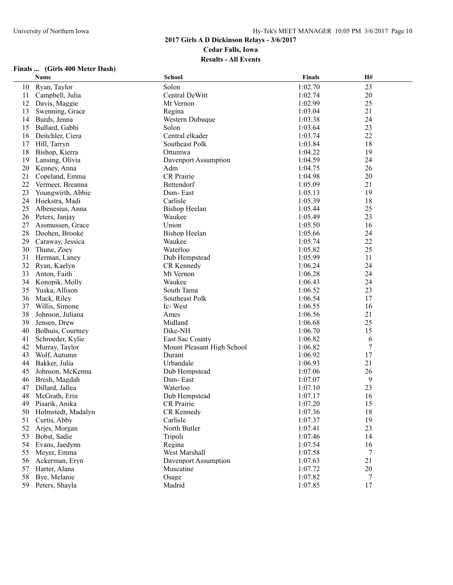|    | Name               | <b>School</b>              | <b>Finals</b> | H# |
|----|--------------------|----------------------------|---------------|----|
| 10 | Ryan, Taylor       | Solon                      | 1:02.70       | 23 |
| 11 | Campbell, Julia    | Central DeWitt             | 1:02.74       | 20 |
| 12 | Davis, Maggie      | Mt Vernon                  | 1:02.99       | 25 |
| 13 | Swenning, Grace    | Regina                     | 1:03.04       | 21 |
| 14 | Burds, Jenna       | Western Dubuque            | 1:03.38       | 24 |
| 15 | Bullard, Gabbi     | Solon                      | 1:03.64       | 23 |
| 16 | Deitchler, Ciera   | Central elkader            | 1:03.74       | 22 |
| 17 | Hill, Tarryn       | Southeast Polk             | 1:03.84       | 18 |
| 18 | Bishop, Kierra     | Ottumwa                    | 1:04.22       | 19 |
| 19 | Lansing, Olivia    | Davenport Assumption       | 1:04.59       | 24 |
| 20 | Kenney, Anna       | Adm                        | 1:04.75       | 26 |
| 21 | Copeland, Emma     | CR Prairie                 | 1:04.98       | 20 |
| 22 | Vermeer, Breanna   | Bettendorf                 | 1:05.09       | 21 |
| 23 | Youngwirth, Abbie  | Dsm-East                   | 1:05.13       | 19 |
| 24 | Hoekstra, Madi     | Carlisle                   | 1:05.39       | 18 |
| 25 | Albenesius, Anna   | <b>Bishop Heelan</b>       | 1:05.44       | 25 |
| 26 | Peters, Janjay     | Waukee                     | 1:05.49       | 23 |
| 27 | Assmussen, Grace   | Union                      | 1:05.50       | 16 |
| 28 | Doohen, Brooke     | <b>Bishop Heelan</b>       | 1:05.66       | 24 |
| 29 | Caraway, Jessica   | Waukee                     | 1:05.74       | 22 |
| 30 | Thune, Zoey        | Waterloo                   | 1:05.82       | 25 |
| 31 | Herman, Laney      | Dub Hempstead              | 1:05.99       | 11 |
| 32 | Ryan, Kaelyn       | CR Kennedy                 | 1:06.24       | 24 |
| 33 | Anton, Faith       | Mt Vernon                  | 1:06.28       | 24 |
| 34 | Konopik, Molly     | Waukee                     | 1:06.43       | 24 |
| 35 | Yuska, Allison     | South Tama                 | 1:06.52       | 23 |
| 36 | Mack, Riley        | Southeast Polk             | 1:06.54       | 17 |
| 37 | Willis, Simone     | Ic-West                    | 1:06.55       | 16 |
| 38 | Johnson, Juliana   | Ames                       | 1:06.56       | 21 |
| 39 | Jensen, Drew       | Midland                    | 1:06.68       | 25 |
| 40 | Bolhuis, Courtney  | Dike-NH                    | 1:06.70       | 15 |
| 41 | Schroeder, Kylie   | East Sac County            | 1:06.82       | 6  |
| 42 | Murray, Taylor     | Mount Pleasant High School | 1:06.82       | 7  |
| 43 | Wolf, Autumn       | Durant                     | 1:06.92       | 17 |
| 44 | Bakker, Julia      | Urbandale                  | 1:06.93       | 21 |
| 45 | Johnson, McKenna   | Dub Hempstead              | 1:07.06       | 26 |
| 46 | Bresh, Magdah      | Dsm-East                   | 1:07.07       | 9  |
| 47 | Dillard, Jallea    | Waterloo                   | 1:07.10       | 23 |
| 48 | McGrath, Erin      | Dub Hempstead              | 1:07.17       | 16 |
|    | 49 Pisarik, Anika  | CR Prairie                 | 1:07.20       | 15 |
| 50 | Holmstedt, Madalyn | CR Kennedy                 | 1:07.36       | 18 |
| 51 | Curtis, Abby       | Carlisle                   | 1:07.37       | 19 |
| 52 | Arjes, Morgan      | North Butler               | 1:07.41       | 23 |
| 53 | Bobst, Sadie       | Tripoli                    | 1:07.46       | 14 |
| 54 | Evans, Jaedynn     | Regina                     | 1:07.54       | 16 |
| 55 | Meyer, Emma        | West Marshall              | 1:07.58       | 7  |
| 56 | Ackerman, Eryn     | Davenport Assumption       | 1:07.63       | 21 |
| 57 | Harter, Alana      | Muscatine                  | 1:07.72       | 20 |
| 58 | Bye, Melanie       | Osage                      | 1:07.82       | 7  |
| 59 | Peters, Shayla     | Madrid                     | 1:07.85       | 17 |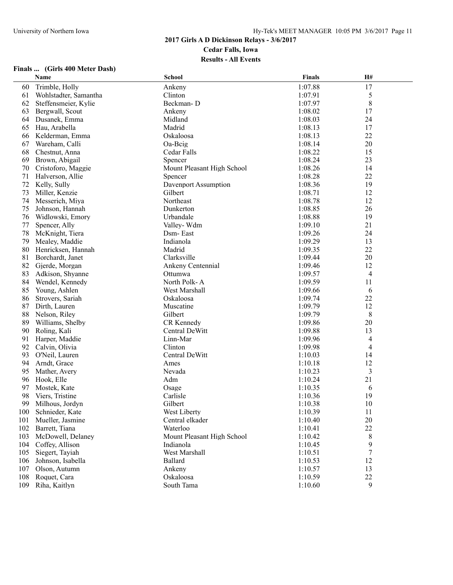|     | Name                  | <b>School</b>              | <b>Finals</b> | H#             |  |
|-----|-----------------------|----------------------------|---------------|----------------|--|
| 60  | Trimble, Holly        | Ankeny                     | 1:07.88       | 17             |  |
| 61  | Wohlstadter, Samantha | Clinton                    | 1:07.91       | 5              |  |
| 62  | Steffensmeier, Kylie  | Beckman-D                  | 1:07.97       | $\,8\,$        |  |
| 63  | Bergwall, Scout       | Ankeny                     | 1:08.02       | 17             |  |
| 64  | Dusanek, Emma         | Midland                    | 1:08.03       | 24             |  |
| 65  | Hau, Arabella         | Madrid                     | 1:08.13       | 17             |  |
| 66  | Kelderman, Emma       | Oskaloosa                  | 1:08.13       | 22             |  |
| 67  | Wareham, Calli        | Oa-Beig                    | 1:08.14       | 20             |  |
| 68  | Chestnut, Anna        | Cedar Falls                | 1:08.22       | 15             |  |
| 69  | Brown, Abigail        | Spencer                    | 1:08.24       | 23             |  |
| 70  | Cristoforo, Maggie    | Mount Pleasant High School | 1:08.26       | 14             |  |
| 71  | Halverson, Allie      | Spencer                    | 1:08.28       | 22             |  |
| 72  | Kelly, Sully          | Davenport Assumption       | 1:08.36       | 19             |  |
| 73  | Miller, Kenzie        | Gilbert                    | 1:08.71       | 12             |  |
| 74  | Messerich, Miya       | Northeast                  | 1:08.78       | 12             |  |
| 75  | Johnson, Hannah       | Dunkerton                  | 1:08.85       | 26             |  |
| 76  | Widlowski, Emory      | Urbandale                  | 1:08.88       | 19             |  |
| 77  | Spencer, Ally         | Valley-Wdm                 | 1:09.10       | 21             |  |
| 78  | McKnight, Tiera       | Dsm-East                   | 1:09.26       | 24             |  |
| 79  | Mealey, Maddie        | Indianola                  | 1:09.29       | 13             |  |
| 80  | Henricksen, Hannah    | Madrid                     | 1:09.35       | 22             |  |
| 81  | Borchardt, Janet      | Clarksville                | 1:09.44       | 20             |  |
| 82  | Gjerde, Morgan        | Ankeny Centennial          | 1:09.46       | 12             |  |
| 83  | Adkison, Shyanne      | Ottumwa                    | 1:09.57       | $\overline{4}$ |  |
| 84  | Wendel, Kennedy       | North Polk-A               | 1:09.59       | 11             |  |
| 85  | Young, Ashlen         | West Marshall              | 1:09.66       | 6              |  |
| 86  | Strovers, Sariah      | Oskaloosa                  | 1:09.74       | 22             |  |
| 87  | Dirth, Lauren         | Muscatine                  | 1:09.79       | 12             |  |
| 88  | Nelson, Riley         | Gilbert                    | 1:09.79       | 8              |  |
| 89  | Williams, Shelby      | CR Kennedy                 | 1:09.86       | 20             |  |
| 90  | Roling, Kali          | Central DeWitt             | 1:09.88       | 13             |  |
| 91  | Harper, Maddie        | Linn-Mar                   | 1:09.96       | 4              |  |
| 92  | Calvin, Olivia        | Clinton                    | 1:09.98       | $\overline{4}$ |  |
| 93  | O'Neil, Lauren        | Central DeWitt             | 1:10.03       | 14             |  |
| 94  | Arndt, Grace          | Ames                       | 1:10.18       | 12             |  |
| 95  | Mather, Avery         | Nevada                     | 1:10.23       | 3              |  |
| 96  | Hook, Elle            | Adm                        | 1:10.24       | 21             |  |
| 97  | Mostek, Kate          | Osage                      | 1:10.35       | 6              |  |
| 98  | Viers, Tristine       | Carlisle                   | 1:10.36       | 19             |  |
|     | 99 Milhous, Jordyn    | Gilbert                    | 1:10.38       | 10             |  |
| 100 | Schnieder, Kate       | West Liberty               | 1:10.39       | 11             |  |
| 101 | Mueller, Jasmine      | Central elkader            | 1:10.40       | 20             |  |
| 102 | Barrett, Tiana        | Waterloo                   | 1:10.41       | 22             |  |
| 103 | McDowell, Delaney     | Mount Pleasant High School | 1:10.42       | 8              |  |
| 104 | Coffey, Allison       | Indianola                  | 1:10.45       | 9              |  |
| 105 | Siegert, Tayiah       | West Marshall              | 1:10.51       | 7              |  |
| 106 | Johnson, Isabella     | Ballard                    | 1:10.53       | 12             |  |
| 107 | Olson, Autumn         | Ankeny                     | 1:10.57       | 13             |  |
| 108 | Roquet, Cara          | Oskaloosa                  | 1:10.59       | 22             |  |
| 109 | Riha, Kaitlyn         | South Tama                 | 1:10.60       | 9              |  |
|     |                       |                            |               |                |  |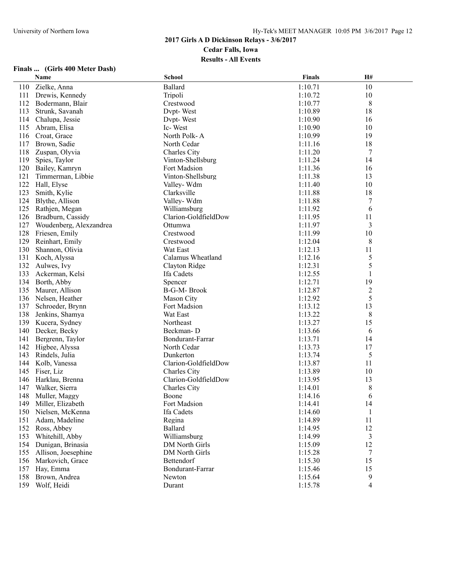|     | Name                    | School                | <b>Finals</b> | H#             |  |
|-----|-------------------------|-----------------------|---------------|----------------|--|
| 110 | Zielke, Anna            | <b>Ballard</b>        | 1:10.71       | 10             |  |
| 111 | Drewis, Kennedy         | Tripoli               | 1:10.72       | 10             |  |
| 112 | Bodermann, Blair        | Crestwood             | 1:10.77       | $\,8\,$        |  |
| 113 | Strunk, Savanah         | Dypt-West             | 1:10.89       | 18             |  |
| 114 | Chalupa, Jessie         | Dypt-West             | 1:10.90       | 16             |  |
| 115 | Abram, Elisa            | Ic-West               | 1:10.90       | 10             |  |
| 116 | Croat, Grace            | North Polk-A          | 1:10.99       | 19             |  |
| 117 | Brown, Sadie            | North Cedar           | 1:11.16       | 18             |  |
| 118 | Zuspan, Olyvia          | <b>Charles City</b>   | 1:11.20       | 7              |  |
| 119 | Spies, Taylor           | Vinton-Shellsburg     | 1:11.24       | 14             |  |
| 120 | Bailey, Kamryn          | Fort Madsion          | 1:11.36       | 16             |  |
| 121 | Timmerman, Libbie       | Vinton-Shellsburg     | 1:11.38       | 13             |  |
| 122 | Hall, Elyse             | Valley-Wdm            | 1:11.40       | 10             |  |
| 123 | Smith, Kylie            | Clarksville           | 1:11.88       | 18             |  |
| 124 | Blythe, Allison         | Valley-Wdm            | 1:11.88       | 7              |  |
| 125 | Rathjen, Megan          | Williamsburg          | 1:11.92       | 6              |  |
| 126 | Bradburn, Cassidy       | Clarion-GoldfieldDow  | 1:11.95       | 11             |  |
| 127 | Woudenberg, Alexzandrea | Ottumwa               | 1:11.97       | 3              |  |
| 128 | Friesen, Emily          | Crestwood             | 1:11.99       | 10             |  |
| 129 | Reinhart, Emily         | Crestwood             | 1:12.04       | 8              |  |
| 130 | Shannon, Olivia         | Wat East              | 1:12.13       | 11             |  |
| 131 | Koch, Alyssa            | Calamus Wheatland     | 1:12.16       | 5              |  |
| 132 | Aulwes, Ivy             | Clayton Ridge         | 1:12.31       | 5              |  |
| 133 | Ackerman, Kelsi         | Ifa Cadets            | 1:12.55       | 1              |  |
| 134 | Borth, Abby             | Spencer               | 1:12.71       | 19             |  |
| 135 | Maurer, Allison         | B-G-M-Brook           | 1:12.87       | $\overline{c}$ |  |
| 136 | Nelsen, Heather         | Mason City            | 1:12.92       | 5              |  |
| 137 | Schroeder, Brynn        | Fort Madsion          | 1:13.12       | 13             |  |
| 138 | Jenkins, Shamya         | Wat East              | 1:13.22       | 8              |  |
| 139 | Kucera, Sydney          | Northeast             | 1:13.27       | 15             |  |
| 140 | Decker, Becky           | Beckman-D             | 1:13.66       | 6              |  |
| 141 | Bergrenn, Taylor        | Bondurant-Farrar      | 1:13.71       | 14             |  |
| 142 | Higbee, Alyssa          | North Cedar           | 1:13.73       | 17             |  |
| 143 | Rindels, Julia          | Dunkerton             | 1:13.74       | 5              |  |
| 144 | Kolb, Vanessa           | Clarion-GoldfieldDow  | 1:13.87       | 11             |  |
| 145 | Fiser, Liz              | Charles City          | 1:13.89       | 10             |  |
| 146 | Harklau, Brenna         | Clarion-GoldfieldDow  | 1:13.95       | 13             |  |
| 147 | Walker, Sierra          | Charles City          | 1:14.01       | 8              |  |
| 148 | Muller, Maggy           | Boone                 | 1:14.16       | 6              |  |
|     | 149 Miller, Elizabeth   | Fort Madsion          | 1:14.41       | 14             |  |
|     | 150 Nielsen, McKenna    | Ifa Cadets            | 1:14.60       | 1              |  |
| 151 | Adam, Madeline          | Regina                | 1:14.89       | 11             |  |
| 152 | Ross, Abbey             | Ballard               | 1:14.95       | 12             |  |
| 153 | Whitehill, Abby         | Williamsburg          | 1:14.99       | 3              |  |
| 154 | Dunigan, Brinasia       | <b>DM</b> North Girls | 1:15.09       | 12             |  |
| 155 | Allison, Joesephine     | DM North Girls        | 1:15.28       | $\tau$         |  |
| 156 | Markovich, Grace        | Bettendorf            | 1:15.30       | 15             |  |
| 157 | Hay, Emma               | Bondurant-Farrar      | 1:15.46       | 15             |  |
| 158 | Brown, Andrea           | Newton                | 1:15.64       | 9              |  |
|     | 159 Wolf, Heidi         | Durant                | 1:15.78       | $\overline{4}$ |  |
|     |                         |                       |               |                |  |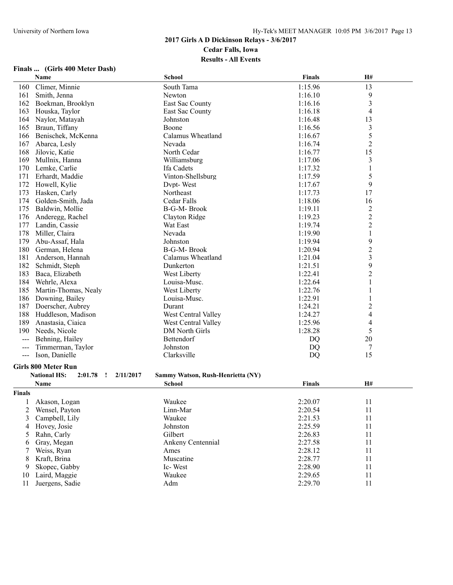#### **2017 Girls A D Dickinson Relays - 3/6/2017 Cedar Falls, Iowa**

#### **Results - All Events**

|                                          | Name                        | <b>School</b>                     | <b>Finals</b> | H#                       |  |
|------------------------------------------|-----------------------------|-----------------------------------|---------------|--------------------------|--|
| 160                                      | Climer, Minnie              | South Tama                        | 1:15.96       | 13                       |  |
| 161                                      | Smith, Jenna                | Newton                            | 1:16.10       | 9                        |  |
| 162                                      | Boekman, Brooklyn           | East Sac County                   | 1:16.16       | 3                        |  |
| 163                                      | Houska, Taylor              | East Sac County                   | 1:16.18       | $\overline{4}$           |  |
| 164                                      | Naylor, Matayah             | Johnston                          | 1:16.48       | 13                       |  |
| 165                                      | Braun, Tiffany              | Boone                             | 1:16.56       | $\sqrt{3}$               |  |
| 166                                      | Benischek, McKenna          | Calamus Wheatland                 | 1:16.67       | 5                        |  |
| 167                                      | Abarca, Lesly               | Nevada                            | 1:16.74       | $\overline{c}$           |  |
| 168                                      | Jilovic, Katie              | North Cedar                       | 1:16.77       | 15                       |  |
| 169                                      | Mullnix, Hanna              | Williamsburg                      | 1:17.06       | 3                        |  |
| 170                                      | Lemke, Carlie               | Ifa Cadets                        | 1:17.32       | $\mathbf{1}$             |  |
| 171                                      | Erhardt, Maddie             | Vinton-Shellsburg                 | 1:17.59       | 5                        |  |
| 172                                      | Howell, Kylie               | Dvpt-West                         | 1:17.67       | 9                        |  |
| 173                                      | Hasken, Carly               | Northeast                         | 1:17.73       | 17                       |  |
| 174                                      | Golden-Smith, Jada          | Cedar Falls                       | 1:18.06       | 16                       |  |
| 175                                      | Baldwin, Mollie             | B-G-M-Brook                       | 1:19.11       | $\overline{2}$           |  |
| 176                                      | Anderegg, Rachel            | Clayton Ridge                     | 1:19.23       | $\overline{c}$           |  |
| 177                                      | Landin, Cassie              | Wat East                          | 1:19.74       | $\overline{2}$           |  |
| 178                                      | Miller, Claira              | Nevada                            | 1:19.90       | $\mathbf{1}$             |  |
| 179                                      | Abu-Assaf, Hala             | Johnston                          | 1:19.94       | 9                        |  |
| 180                                      | German, Helena              | <b>B-G-M-Brook</b>                | 1:20.94       | $\overline{c}$           |  |
| 181                                      | Anderson, Hannah            | Calamus Wheatland                 | 1:21.04       | 3                        |  |
| 182                                      | Schmidt, Steph              | Dunkerton                         | 1:21.51       | 9                        |  |
| 183                                      | Baca, Elizabeth             | West Liberty                      | 1:22.41       | $\overline{c}$           |  |
| 184                                      | Wehrle, Alexa               | Louisa-Musc.                      | 1:22.64       | 1                        |  |
| 185                                      | Martin-Thomas, Nealy        | West Liberty                      | 1:22.76       | 1                        |  |
| 186                                      | Downing, Bailey             | Louisa-Musc.                      | 1:22.91       |                          |  |
| 187                                      | Doerscher, Aubrey           | Durant                            | 1:24.21       | $\overline{c}$           |  |
| 188                                      | Huddleson, Madison          | West Central Valley               | 1:24.27       | $\overline{4}$           |  |
| 189                                      | Anastasia, Ciaica           | West Central Valley               | 1:25.96       | $\overline{\mathcal{L}}$ |  |
| 190                                      | Needs, Nicole               | DM North Girls                    | 1:28.28       | 5                        |  |
| $---$                                    | Behning, Hailey             | Bettendorf                        | DQ            | $20\,$                   |  |
| $---$                                    | Timmerman, Taylor           | Johnston                          | <b>DQ</b>     | 7                        |  |
| $\hspace{0.05cm} \ldots \hspace{0.05cm}$ | Ison, Danielle              | Clarksville                       | DQ            | 15                       |  |
|                                          | <b>Girls 800 Meter Run</b>  |                                   |               |                          |  |
|                                          | $2:01.78$ !<br>2/11/2017    | Sammy Watson, Rush-Henrietta (NY) |               |                          |  |
|                                          | <b>National HS:</b><br>Name |                                   | <b>Finals</b> | H#                       |  |
|                                          |                             | <b>School</b>                     |               |                          |  |
| Finals                                   |                             |                                   |               |                          |  |
| 1                                        | Akason, Logan               | Waukee                            | 2:20.07       | 11                       |  |
| 2                                        | Wensel, Payton              | Linn-Mar                          | 2:20.54       | 11                       |  |
| 3                                        | Campbell, Lily              | Waukee                            | 2:21.53       | 11                       |  |
| 4                                        | Hovey, Josie                | Johnston                          | 2:25.59       | 11                       |  |
| 5                                        | Rahn, Carly                 | Gilbert                           | 2:26.83       | 11                       |  |
| 6                                        | Gray, Megan                 | Ankeny Centennial                 | 2:27.58       | 11                       |  |
| 7                                        | Weiss, Ryan                 | Ames                              | 2:28.12       | 11                       |  |
| 8                                        | Kraft, Brina                | Muscatine                         | 2:28.77       | 11                       |  |
| 9                                        | Skopec, Gabby               | Ic-West                           | 2:28.90       | 11                       |  |
| 10                                       | Laird, Maggie               | Waukee                            | 2:29.65       | 11                       |  |
| 11                                       | Juergens, Sadie             | Adm                               | 2:29.70       | 11                       |  |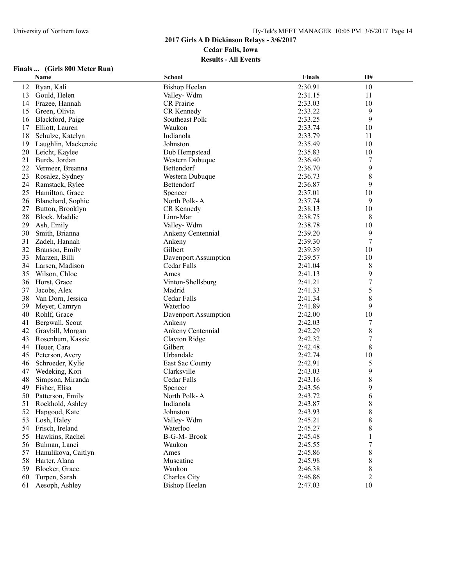# **Finals ... (Girls 800 Meter Run)**

|    | Name                | <b>School</b>        | <b>Finals</b> | H#     |  |
|----|---------------------|----------------------|---------------|--------|--|
| 12 | Ryan, Kali          | <b>Bishop Heelan</b> | 2:30.91       | 10     |  |
| 13 | Gould, Helen        | Valley-Wdm           | 2:31.15       | 11     |  |
| 14 | Frazee, Hannah      | CR Prairie           | 2:33.03       | 10     |  |
| 15 | Green, Olivia       | CR Kennedy           | 2:33.22       | 9      |  |
| 16 | Blackford, Paige    | Southeast Polk       | 2:33.25       | 9      |  |
| 17 | Elliott, Lauren     | Waukon               | 2:33.74       | 10     |  |
| 18 | Schulze, Katelyn    | Indianola            | 2:33.79       | 11     |  |
| 19 | Laughlin, Mackenzie | Johnston             | 2:35.49       | 10     |  |
| 20 | Leicht, Kaylee      | Dub Hempstead        | 2:35.83       | 10     |  |
| 21 | Burds, Jordan       | Western Dubuque      | 2:36.40       | 7      |  |
| 22 | Vermeer, Breanna    | Bettendorf           | 2:36.70       | 9      |  |
| 23 | Rosalez, Sydney     | Western Dubuque      | 2:36.73       | 8      |  |
| 24 | Ramstack, Rylee     | Bettendorf           | 2:36.87       | 9      |  |
| 25 | Hamilton, Grace     | Spencer              | 2:37.01       | 10     |  |
| 26 | Blanchard, Sophie   | North Polk-A         | 2:37.74       | 9      |  |
| 27 | Button, Brooklyn    | CR Kennedy           | 2:38.13       | 10     |  |
| 28 | Block, Maddie       | Linn-Mar             | 2:38.75       | 8      |  |
| 29 | Ash, Emily          | Valley-Wdm           | 2:38.78       | 10     |  |
| 30 | Smith, Brianna      | Ankeny Centennial    | 2:39.20       | 9      |  |
| 31 | Zadeh, Hannah       | Ankeny               | 2:39.30       | $\tau$ |  |
| 32 | Branson, Emily      | Gilbert              | 2:39.39       | 10     |  |
| 33 | Marzen, Billi       | Davenport Assumption | 2:39.57       | 10     |  |
| 34 | Larsen, Madison     | Cedar Falls          | 2:41.04       | 8      |  |
| 35 | Wilson, Chloe       | Ames                 | 2:41.13       | 9      |  |
| 36 | Horst, Grace        | Vinton-Shellsburg    | 2:41.21       | 7      |  |
| 37 | Jacobs, Alex        | Madrid               | 2:41.33       | 5      |  |
| 38 | Van Dorn, Jessica   | Cedar Falls          | 2:41.34       | 8      |  |
| 39 | Meyer, Camryn       | Waterloo             | 2:41.89       | 9      |  |
| 40 | Rohlf, Grace        | Davenport Assumption | 2:42.00       | 10     |  |
| 41 | Bergwall, Scout     | Ankeny               | 2:42.03       | 7      |  |
| 42 | Graybill, Morgan    | Ankeny Centennial    | 2:42.29       | 8      |  |
| 43 | Rosenbum, Kassie    | Clayton Ridge        | 2:42.32       | 7      |  |
| 44 | Heuer, Cara         | Gilbert              | 2:42.48       | 8      |  |
| 45 | Peterson, Avery     | Urbandale            | 2:42.74       | 10     |  |
| 46 | Schroeder, Kylie    | East Sac County      | 2:42.91       | 5      |  |
| 47 | Wedeking, Kori      | Clarksville          | 2:43.03       | 9      |  |
| 48 | Simpson, Miranda    | Cedar Falls          | 2:43.16       | 8      |  |
| 49 | Fisher, Elisa       | Spencer              | 2:43.56       | 9      |  |
| 50 | Patterson, Emily    | North Polk-A         | 2:43.72       | 6      |  |
|    | 51 Rockhold, Ashley | Indianola            | 2:43.87       | 8      |  |
| 52 | Hapgood, Kate       | Johnston             | 2:43.93       | 8      |  |
| 53 | Losh, Haley         | Valley-Wdm           | 2:45.21       | 8      |  |
| 54 | Frisch, Ireland     | Waterloo             | 2:45.27       | 8      |  |
| 55 | Hawkins, Rachel     | B-G-M-Brook          | 2:45.48       | 1      |  |
| 56 | Bulman, Lanci       | Waukon               | 2:45.55       | 7      |  |
| 57 | Hanulikova, Caitlyn | Ames                 | 2:45.86       | 8      |  |
| 58 | Harter, Alana       | Muscatine            | 2:45.98       | 8      |  |
| 59 | Blocker, Grace      | Waukon               | 2:46.38       | 8      |  |
| 60 | Turpen, Sarah       | Charles City         | 2:46.86       | 2      |  |
| 61 | Aesoph, Ashley      | <b>Bishop Heelan</b> | 2:47.03       | 10     |  |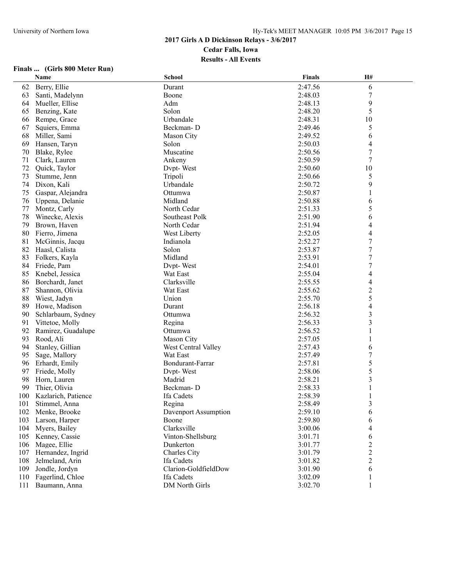# **Finals ... (Girls 800 Meter Run)**

|     | Name                  | School               | <b>Finals</b> | H#                       |  |
|-----|-----------------------|----------------------|---------------|--------------------------|--|
| 62  | Berry, Ellie          | Durant               | 2:47.56       | 6                        |  |
| 63  | Santi, Madelynn       | Boone                | 2:48.03       | 7                        |  |
| 64  | Mueller, Ellise       | Adm                  | 2:48.13       | 9                        |  |
| 65  | Benzing, Kate         | Solon                | 2:48.20       | 5                        |  |
| 66  | Rempe, Grace          | Urbandale            | 2:48.31       | 10                       |  |
| 67  | Squiers, Emma         | Beckman-D            | 2:49.46       | 5                        |  |
| 68  | Miller, Sami          | Mason City           | 2:49.52       | 6                        |  |
| 69  | Hansen, Taryn         | Solon                | 2:50.03       | 4                        |  |
| 70  | Blake, Rylee          | Muscatine            | 2:50.56       | 7                        |  |
| 71  | Clark, Lauren         | Ankeny               | 2:50.59       | 7                        |  |
| 72  | Quick, Taylor         | Dvpt-West            | 2:50.60       | 10                       |  |
| 73  | Stumme, Jenn          | Tripoli              | 2:50.66       | 5                        |  |
| 74  | Dixon, Kali           | Urbandale            | 2:50.72       | 9                        |  |
| 75  | Gaspar, Alejandra     | Ottumwa              | 2:50.87       | 1                        |  |
| 76  | Uppena, Delanie       | Midland              | 2:50.88       | 6                        |  |
| 77  | Montz, Carly          | North Cedar          | 2:51.33       | 5                        |  |
| 78  | Winecke, Alexis       | Southeast Polk       | 2:51.90       | 6                        |  |
| 79  | Brown, Haven          | North Cedar          | 2:51.94       | 4                        |  |
| 80  | Fierro, Jimena        | West Liberty         | 2:52.05       | 4                        |  |
| 81  | McGinnis, Jacqu       | Indianola            | 2:52.27       | $\boldsymbol{7}$         |  |
| 82  | Haasl, Calista        | Solon                | 2:53.87       | $\tau$                   |  |
| 83  | Folkers, Kayla        | Midland              | 2:53.91       | $\tau$                   |  |
| 84  | Friede, Pam           | Dvpt-West            | 2:54.01       | 7                        |  |
| 85  | Knebel, Jessica       | Wat East             | 2:55.04       | $\overline{4}$           |  |
| 86  | Borchardt, Janet      | Clarksville          | 2:55.55       | $\overline{\mathcal{L}}$ |  |
| 87  | Shannon, Olivia       | Wat East             | 2:55.62       | $\overline{c}$           |  |
| 88  | Wiest, Jadyn          | Union                | 2:55.70       | 5                        |  |
| 89  | Howe, Madison         | Durant               | 2:56.18       | 4                        |  |
| 90  | Schlarbaum, Sydney    | Ottumwa              | 2:56.32       | 3                        |  |
| 91  | Vittetoe, Molly       | Regina               | 2:56.33       | $\overline{3}$           |  |
| 92  | Ramirez, Guadalupe    | Ottumwa              | 2:56.52       | 1                        |  |
| 93  | Rood, Ali             | Mason City           | 2:57.05       | 1                        |  |
| 94  | Stanley, Gillian      | West Central Valley  | 2:57.43       | 6                        |  |
| 95  | Sage, Mallory         | Wat East             | 2:57.49       | 7                        |  |
| 96  | Erhardt, Emily        | Bondurant-Farrar     | 2:57.81       | 5                        |  |
| 97  | Friede, Molly         | Dvpt-West            | 2:58.06       | 5                        |  |
| 98  | Horn, Lauren          | Madrid               | 2:58.21       | 3                        |  |
| 99  | Thier, Olivia         | Beckman-D            | 2:58.33       |                          |  |
| 100 | Kazlarich, Patience   | Ifa Cadets           | 2:58.39       |                          |  |
|     | 101 Stimmel, Anna     | Regina               | 2:58.49       | 3                        |  |
|     | 102 Menke, Brooke     | Davenport Assumption | 2:59.10       | 6                        |  |
| 103 | Larson, Harper        | Boone                | 2:59.80       | 6                        |  |
| 104 | Myers, Bailey         | Clarksville          | 3:00.06       | 4                        |  |
| 105 | Kenney, Cassie        | Vinton-Shellsburg    | 3:01.71       | 6                        |  |
|     | 106 Magee, Ellie      | Dunkerton            | 3:01.77       | 2                        |  |
|     | 107 Hernandez, Ingrid | Charles City         | 3:01.79       | 2                        |  |
| 108 | Jelmeland, Arin       | Ifa Cadets           | 3:01.82       | 2                        |  |
| 109 | Jondle, Jordyn        | Clarion-GoldfieldDow | 3:01.90       | 6                        |  |
| 110 | Fagerlind, Chloe      | Ifa Cadets           | 3:02.09       | 1                        |  |
| 111 | Baumann, Anna         | DM North Girls       | 3:02.70       |                          |  |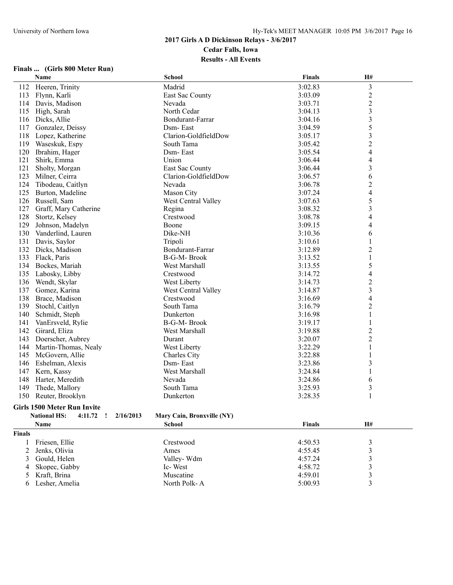## **Finals ... (Girls 800 Meter Run)**

|               | Name                                             | <b>School</b>              | <b>Finals</b> | H#                      |  |
|---------------|--------------------------------------------------|----------------------------|---------------|-------------------------|--|
| 112           | Heeren, Trinity                                  | Madrid                     | 3:02.83       | $\mathfrak{Z}$          |  |
| 113           | Flynn, Karli                                     | East Sac County            | 3:03.09       | $\boldsymbol{2}$        |  |
| 114           | Davis, Madison                                   | Nevada                     | 3:03.71       | $\overline{c}$          |  |
| 115           | High, Sarah                                      | North Cedar                | 3:04.13       | 3                       |  |
| 116           | Dicks, Allie                                     | Bondurant-Farrar           | 3:04.16       | 3                       |  |
| 117           | Gonzalez, Deissy                                 | Dsm-East                   | 3:04.59       | 5                       |  |
| 118           | Lopez, Katherine                                 | Clarion-GoldfieldDow       | 3:05.17       | 3                       |  |
| 119           | Waseskuk, Espy                                   | South Tama                 | 3:05.42       | $\overline{c}$          |  |
| 120           | Ibrahim, Hager                                   | Dsm-East                   | 3:05.54       | 4                       |  |
| 121           | Shirk, Emma                                      | Union                      | 3:06.44       | 4                       |  |
| 121           | Sholty, Morgan                                   | East Sac County            | 3:06.44       | 3                       |  |
| 123           | Milner, Ceirra                                   | Clarion-GoldfieldDow       | 3:06.57       | 6                       |  |
| 124           | Tibodeau, Caitlyn                                | Nevada                     | 3:06.78       | $\overline{c}$          |  |
| 125           | Burton, Madeline                                 | Mason City                 | 3:07.24       | $\overline{4}$          |  |
| 126           | Russell, Sam                                     | West Central Valley        | 3:07.63       | 5                       |  |
| 127           | Graff, Mary Catherine                            | Regina                     | 3:08.32       | 3                       |  |
| 128           | Stortz, Kelsey                                   | Crestwood                  | 3:08.78       | 4                       |  |
| 129           | Johnson, Madelyn                                 | Boone                      | 3:09.15       | 4                       |  |
| 130           | Vanderlind, Lauren                               | Dike-NH                    | 3:10.36       | 6                       |  |
| 131           | Davis, Saylor                                    | Tripoli                    | 3:10.61       | 1                       |  |
| 132           | Dicks, Madison                                   | Bondurant-Farrar           | 3:12.89       | $\overline{c}$          |  |
| 133           | Flack, Paris                                     | <b>B-G-M-Brook</b>         | 3:13.52       | $\mathbf{1}$            |  |
| 134           | Bockes, Mariah                                   | West Marshall              | 3:13.55       | 5                       |  |
| 135           | Labosky, Libby                                   | Crestwood                  | 3:14.72       | 4                       |  |
| 136           | Wendt, Skylar                                    | West Liberty               | 3:14.73       | $\overline{c}$          |  |
| 137           | Gomez, Karina                                    | West Central Valley        | 3:14.87       | $\overline{\mathbf{3}}$ |  |
| 138           | Brace, Madison                                   | Crestwood                  | 3:16.69       | 4                       |  |
| 139           | Stochl, Caitlyn                                  | South Tama                 | 3:16.79       | $\overline{\mathbf{c}}$ |  |
| 140           | Schmidt, Steph                                   | Dunkerton                  | 3:16.98       | 1                       |  |
| 141           | VanErsveld, Rylie                                | <b>B-G-M-Brook</b>         | 3:19.17       | 1                       |  |
| 142           | Girard, Eliza                                    | West Marshall              | 3:19.88       | $\overline{\mathbf{c}}$ |  |
| 143           | Doerscher, Aubrey                                | Durant                     | 3:20.07       | $\overline{c}$          |  |
| 144           | Martin-Thomas, Nealy                             | West Liberty               | 3:22.29       | $\,1$                   |  |
| 145           | McGovern, Allie                                  | Charles City               | 3:22.88       | 1                       |  |
| 146           | Eshelman, Alexis                                 | Dsm-East                   | 3:23.86       | 3                       |  |
| 147           | Kern, Kassy                                      | West Marshall              | 3:24.84       | 1                       |  |
| 148           | Harter, Meredith                                 | Nevada                     | 3:24.86       | 6                       |  |
| 149           | Thede, Mallory                                   | South Tama                 | 3:25.93       | 3                       |  |
| 150           | Reuter, Brooklyn                                 | Dunkerton                  | 3:28.35       | $\mathbf{1}$            |  |
|               | Girls 1500 Meter Run Invite                      |                            |               |                         |  |
|               | <b>National HS:</b><br>4:11.72<br>2/16/2013<br>T | Mary Cain, Bronxville (NY) |               |                         |  |
|               | Name                                             | <b>School</b>              | <b>Finals</b> | H#                      |  |
| <b>Finals</b> |                                                  |                            |               |                         |  |
| 1             | Friesen, Ellie                                   | Crestwood                  | 4:50.53       | 3                       |  |
| 2             | Jenks, Olivia                                    | Ames                       | 4:55.45       | 3                       |  |
| 3             | Gould, Helen                                     | Valley-Wdm                 | 4:57.24       | 3                       |  |
| 4             | Skopec, Gabby                                    | Ic-West                    | 4:58.72       | 3                       |  |

5 Kraft, Brina 3 (3) 3 Muscatine 3 (4:59.01 3) 6 Lesher, Amelia North Polk- A 5:00.93 3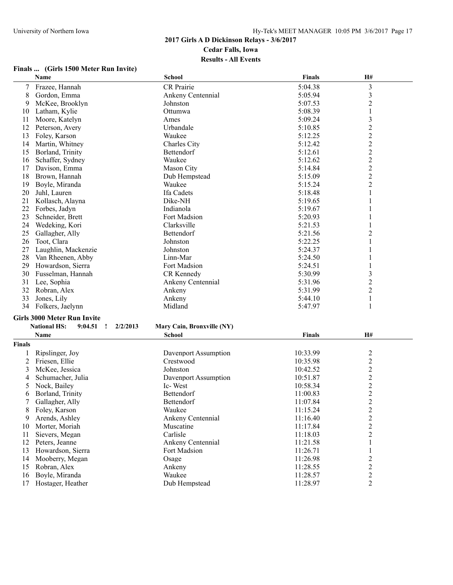# **Finals ... (Girls 1500 Meter Run Invite)**

|                | Name                                           | School                     | <b>Finals</b> | H#                      |  |
|----------------|------------------------------------------------|----------------------------|---------------|-------------------------|--|
| 7              | Frazee, Hannah                                 | CR Prairie                 | 5:04.38       | $\overline{\mathbf{3}}$ |  |
| 8              | Gordon, Emma                                   | Ankeny Centennial          | 5:05.94       | $\mathfrak{Z}$          |  |
| 9              | McKee, Brooklyn                                | Johnston                   | 5:07.53       | $\overline{2}$          |  |
| 10             | Latham, Kylie                                  | Ottumwa                    | 5:08.39       | 1                       |  |
| 11             | Moore, Katelyn                                 | Ames                       | 5:09.24       | 3                       |  |
| 12             | Peterson, Avery                                | Urbandale                  | 5:10.85       | $\boldsymbol{2}$        |  |
| 13             | Foley, Karson                                  | Waukee                     | 5:12.25       | $\overline{c}$          |  |
| 14             | Martin, Whitney                                | Charles City               | 5:12.42       | $\overline{c}$          |  |
| 15             | Borland, Trinity                               | Bettendorf                 | 5:12.61       | $\sqrt{2}$              |  |
| 16             | Schaffer, Sydney                               | Waukee                     | 5:12.62       |                         |  |
| 17             | Davison, Emma                                  | Mason City                 | 5:14.84       | $\frac{2}{2}$           |  |
| 18             | Brown, Hannah                                  | Dub Hempstead              | 5:15.09       | $\overline{2}$          |  |
| 19             | Boyle, Miranda                                 | Waukee                     | 5:15.24       | $\overline{c}$          |  |
| 20             | Juhl, Lauren                                   | Ifa Cadets                 | 5:18.48       | 1                       |  |
| 21             | Kollasch, Alayna                               | Dike-NH                    | 5:19.65       |                         |  |
| 22             | Forbes, Jadyn                                  | Indianola                  | 5:19.67       | 1                       |  |
| 23             | Schneider, Brett                               | Fort Madsion               | 5:20.93       |                         |  |
| 24             |                                                | Clarksville                |               |                         |  |
|                | Wedeking, Kori                                 |                            | 5:21.53       |                         |  |
| 25             | Gallagher, Ally                                | Bettendorf                 | 5:21.56       | $\overline{c}$          |  |
| 26             | Toot, Clara                                    | Johnston                   | 5:22.25       | 1                       |  |
| 27             | Laughlin, Mackenzie                            | Johnston                   | 5:24.37       |                         |  |
| 28             | Van Rheenen, Abby                              | Linn-Mar                   | 5:24.50       |                         |  |
| 29             | Howardson, Sierra                              | Fort Madsion               | 5:24.51       |                         |  |
| 30             | Fusselman, Hannah                              | CR Kennedy                 | 5:30.99       | 3                       |  |
| 31             | Lee, Sophia                                    | Ankeny Centennial          | 5:31.96       | $\overline{c}$          |  |
| 32             | Robran, Alex                                   | Ankeny                     | 5:31.99       | $\overline{2}$          |  |
| 33             | Jones, Lily                                    | Ankeny                     | 5:44.10       | 1                       |  |
|                | 34 Folkers, Jaelynn                            | Midland                    | 5:47.97       | 1                       |  |
|                | <b>Girls 3000 Meter Run Invite</b>             |                            |               |                         |  |
|                | <b>National HS:</b><br>$9:04.51$ !<br>2/2/2013 | Mary Cain, Bronxville (NY) |               |                         |  |
|                | Name                                           | <b>School</b>              | <b>Finals</b> | H#                      |  |
| Finals         |                                                |                            |               |                         |  |
| 1              | Ripslinger, Joy                                | Davenport Assumption       | 10:33.99      | $\overline{c}$          |  |
| $\overline{c}$ | Friesen, Ellie                                 | Crestwood                  | 10:35.98      | $\boldsymbol{2}$        |  |
| 3              | McKee, Jessica                                 | Johnston                   | 10:42.52      | $\boldsymbol{2}$        |  |
|                | Schumacher, Julia                              | Davenport Assumption       | 10:51.87      | $\overline{c}$          |  |
| 4              | Nock, Bailey                                   | Ic-West                    | 10:58.34      | $\overline{c}$          |  |
| 5              |                                                | Bettendorf                 |               | $\boldsymbol{2}$        |  |
| 6              | Borland, Trinity                               |                            | 11:00.83      | $\overline{2}$          |  |
| 7              | Gallagher, Ally                                | Bettendorf<br>Waukee       | 11:07.84      |                         |  |
| 8              | Foley, Karson                                  |                            | 11:15.24      | $\overline{c}$          |  |
| 9              | Arends, Ashley                                 | Ankeny Centennial          | 11:16.40      | $\sqrt{2}$              |  |
| 10             | Morter, Moriah                                 | Muscatine                  | 11:17.84      | $\overline{c}$          |  |
| 11             | Sievers, Megan                                 | Carlisle                   | 11:18.03      | $\overline{2}$          |  |
| 12             | Peters, Jeanne                                 | Ankeny Centennial          | 11:21.58      | $\mathbf{1}$            |  |
| 13             | Howardson, Sierra                              | Fort Madsion               | 11:26.71      | 1                       |  |
| 14             | Mooberry, Megan                                | Osage                      | 11:26.98      | $\overline{c}$          |  |
| 15             | Robran, Alex                                   | Ankeny                     | 11:28.55      | $\overline{2}$          |  |
| 16             | Boyle, Miranda                                 | Waukee                     | 11:28.57      | $\overline{c}$          |  |
| 17             | Hostager, Heather                              | Dub Hempstead              | 11:28.97      | $\overline{2}$          |  |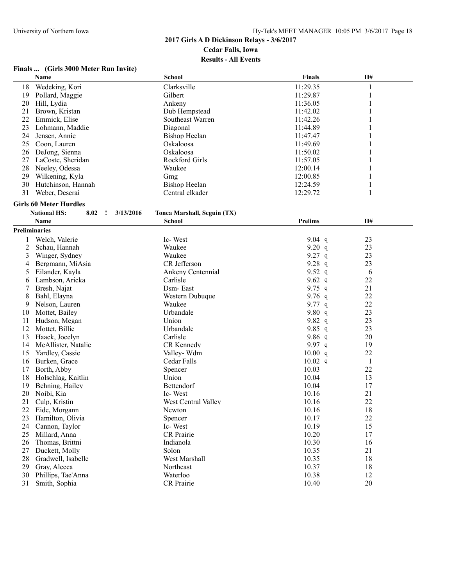## **Finals ... (Girls 3000 Meter Run Invite)**

|               | Name                                                | <b>School</b>               | <b>Finals</b>  | H#       |  |
|---------------|-----------------------------------------------------|-----------------------------|----------------|----------|--|
| 18            | Wedeking, Kori                                      | Clarksville                 | 11:29.35       | 1        |  |
| 19            | Pollard, Maggie                                     | Gilbert                     | 11:29.87       | 1        |  |
| 20            | Hill, Lydia                                         | Ankeny                      | 11:36.05       | 1        |  |
| 21            | Brown, Kristan                                      | Dub Hempstead               | 11:42.02       |          |  |
| 22            | Emmick, Elise                                       | Southeast Warren            | 11:42.26       | 1        |  |
| 23            | Lohmann, Maddie                                     | Diagonal                    | 11:44.89       |          |  |
| 24            | Jensen, Annie                                       | <b>Bishop Heelan</b>        | 11:47.47       |          |  |
| 25            | Coon, Lauren                                        | Oskaloosa                   | 11:49.69       |          |  |
| 26            | DeJong, Sienna                                      | Oskaloosa                   | 11:50.02       |          |  |
| 27            | LaCoste, Sheridan                                   | Rockford Girls              | 11:57.05       | 1        |  |
| 28            | Neeley, Odessa                                      | Waukee                      | 12:00.14       | 1        |  |
| 29            | Wilkening, Kyla                                     | Gmg                         | 12:00.85       |          |  |
| 30            | Hutchinson, Hannah                                  | <b>Bishop Heelan</b>        | 12:24.59       | 1        |  |
| 31            | Weber, Deserai                                      | Central elkader             | 12:29.72       | 1        |  |
|               |                                                     |                             |                |          |  |
|               | <b>Girls 60 Meter Hurdles</b>                       |                             |                |          |  |
|               | <b>National HS:</b><br>3/13/2016<br>8.02<br>$\cdot$ | Tonea Marshall, Seguin (TX) |                |          |  |
|               | Name                                                | <b>School</b>               | <b>Prelims</b> | H#       |  |
| Preliminaries |                                                     |                             |                |          |  |
| 1             | Welch, Valerie                                      | Ic-West                     | $9.04$ q       | 23       |  |
| 2             | Schau, Hannah                                       | Waukee                      | 9.20 $q$       | 23       |  |
| 3             | Winger, Sydney                                      | Waukee                      | $9.27$ q       | 23       |  |
| 4             | Bergmann, MiAsia                                    | CR Jefferson                | 9.28 $q$       | 23       |  |
| 5             | Eilander, Kayla                                     | Ankeny Centennial           | 9.52 $q$       | 6        |  |
| 6             | Lambson, Aricka                                     | Carlisle                    | 9.62 $q$       | 22       |  |
| 7             | Bresh, Najat                                        | Dsm-East                    | 9.75 $q$       | 21       |  |
| 8             | Bahl, Elayna                                        | Western Dubuque             | 9.76 $q$       | 22       |  |
| 9             | Nelson, Lauren                                      | Waukee                      | 9.77 q         | 22       |  |
| 10            | Mottet, Bailey                                      | Urbandale                   | 9.80 $q$       | 23       |  |
| 11            | Hudson, Megan                                       | Union                       | 9.82 $q$       | 23       |  |
| 12            | Mottet, Billie                                      | Urbandale                   | 9.85 q         | 23       |  |
| 13            | Haack, Jocelyn                                      | Carlisle                    | 9.86 $q$       | 20       |  |
| 14            | McAllister, Natalie                                 | CR Kennedy                  | 9.97 $q$       | 19       |  |
| 15            | Yardley, Cassie                                     | Valley-Wdm                  | 10.00 q        | 22       |  |
| 16            | Burken, Grace                                       | Cedar Falls                 | $10.02$ q      | 1        |  |
| 17            | Borth, Abby                                         | Spencer                     | 10.03          | 22       |  |
| 18            | Holschlag, Kaitlin                                  | Union                       | 10.04          |          |  |
| 19            | Behning, Hailey                                     | Bettendorf                  | 10.04          | 13<br>17 |  |
| 20            |                                                     | Ic-West                     | 10.16          | 21       |  |
|               | Noibi, Kia                                          |                             |                | 22       |  |
| 21            | Culp, Kristin                                       | West Central Valley         | 10.16          |          |  |
| 22            | Eide, Morgann                                       | Newton                      | 10.16          | 18       |  |
| 23            | Hamilton, Olivia                                    | Spencer                     | 10.17          | 22       |  |
| 24            | Cannon, Taylor                                      | Ic-West                     | 10.19          | 15       |  |
| 25            | Millard, Anna                                       | <b>CR</b> Prairie           | 10.20          | 17       |  |
| 26            | Thomas, Brittni                                     | Indianola                   | 10.30          | 16       |  |
| 27            | Duckett, Molly                                      | Solon                       | 10.35          | 21       |  |
| 28            | Gradwell, Isabelle                                  | West Marshall               | 10.35          | 18       |  |
| 29            | Gray, Alecca                                        | Northeast                   | 10.37          | 18       |  |
| 30            | Phillips, Tae'Anna                                  | Waterloo                    | 10.38          | 12       |  |
| 31            | Smith, Sophia                                       | CR Prairie                  | 10.40          | 20       |  |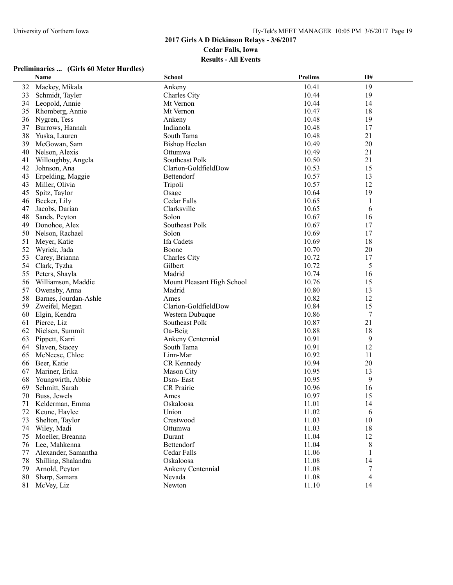#### **Preliminaries ... (Girls 60 Meter Hurdles)**

|    | <b>Name</b>           | <b>School</b>              | <b>Prelims</b> | H# |  |
|----|-----------------------|----------------------------|----------------|----|--|
| 32 | Mackey, Mikala        | Ankeny                     | 10.41          | 19 |  |
| 33 | Schmidt, Tayler       | Charles City               | 10.44          | 19 |  |
| 34 | Leopold, Annie        | Mt Vernon                  | 10.44          | 14 |  |
| 35 | Rhomberg, Annie       | Mt Vernon                  | 10.47          | 18 |  |
| 36 | Nygren, Tess          | Ankeny                     | 10.48          | 19 |  |
| 37 | Burrows, Hannah       | Indianola                  | 10.48          | 17 |  |
| 38 | Yuska, Lauren         | South Tama                 | 10.48          | 21 |  |
| 39 | McGowan, Sam          | <b>Bishop Heelan</b>       | 10.49          | 20 |  |
| 40 | Nelson, Alexis        | Ottumwa                    | 10.49          | 21 |  |
| 41 | Willoughby, Angela    | Southeast Polk             | 10.50          | 21 |  |
| 42 | Johnson, Ana          | Clarion-GoldfieldDow       | 10.53          | 15 |  |
| 43 | Erpelding, Maggie     | Bettendorf                 | 10.57          | 13 |  |
| 43 | Miller, Olivia        | Tripoli                    | 10.57          | 12 |  |
| 45 | Spitz, Taylor         | Osage                      | 10.64          | 19 |  |
| 46 | Becker, Lily          | Cedar Falls                | 10.65          | 1  |  |
| 47 | Jacobs, Darian        | Clarksville                | 10.65          | 6  |  |
| 48 | Sands, Peyton         | Solon                      | 10.67          | 16 |  |
| 49 | Donohoe, Alex         | Southeast Polk             | 10.67          | 17 |  |
| 50 | Nelson, Rachael       | Solon                      | 10.69          | 17 |  |
| 51 | Meyer, Katie          | Ifa Cadets                 | 10.69          | 18 |  |
| 52 | Wyrick, Jada          | Boone                      | 10.70          | 20 |  |
| 53 | Carey, Brianna        | Charles City               | 10.72          | 17 |  |
| 54 | Clark, Tyzha          | Gilbert                    | 10.72          | 5  |  |
| 55 | Peters, Shayla        | Madrid                     | 10.74          | 16 |  |
| 56 | Williamson, Maddie    | Mount Pleasant High School | 10.76          | 15 |  |
| 57 | Owensby, Anna         | Madrid                     | 10.80          | 13 |  |
| 58 | Barnes, Jourdan-Ashle | Ames                       | 10.82          | 12 |  |
| 59 | Zweifel, Megan        | Clarion-GoldfieldDow       | 10.84          | 15 |  |
| 60 | Elgin, Kendra         | Western Dubuque            | 10.86          | 7  |  |
| 61 | Pierce, Liz           | Southeast Polk             | 10.87          | 21 |  |
| 62 | Nielsen, Summit       | Oa-Beig                    | 10.88          | 18 |  |
| 63 | Pippett, Karri        | Ankeny Centennial          | 10.91          | 9  |  |
| 64 | Slaven, Stacey        | South Tama                 | 10.91          | 12 |  |
| 65 | McNeese, Chloe        | Linn-Mar                   | 10.92          | 11 |  |
| 66 | Beer, Katie           | CR Kennedy                 | 10.94          | 20 |  |
| 67 | Mariner, Erika        | Mason City                 | 10.95          | 13 |  |
| 68 | Youngwirth, Abbie     | Dsm-East                   | 10.95          | 9  |  |
| 69 | Schmitt, Sarah        | <b>CR</b> Prairie          | 10.96          | 16 |  |
| 70 | Buss, Jewels          | Ames                       | 10.97          | 15 |  |
| 71 | Kelderman, Emma       | Oskaloosa                  | 11.01          | 14 |  |
| 72 | Keune, Haylee         | Union                      | 11.02          | 6  |  |
| 73 | Shelton, Taylor       | Crestwood                  | 11.03          | 10 |  |
| 74 | Wiley, Madi           | Ottumwa                    | 11.03          | 18 |  |
| 75 | Moeller, Breanna      | Durant                     | 11.04          | 12 |  |
| 76 | Lee, Mahkenna         | Bettendorf                 | 11.04          | 8  |  |
| 77 | Alexander, Samantha   | Cedar Falls                | 11.06          |    |  |
| 78 | Shilling, Shalandra   | Oskaloosa                  | 11.08          | 14 |  |
| 79 | Arnold, Peyton        | Ankeny Centennial          | 11.08          | 7  |  |
| 80 | Sharp, Samara         | Nevada                     | 11.08          | 4  |  |
| 81 | McVey, Liz            | Newton                     | 11.10          | 14 |  |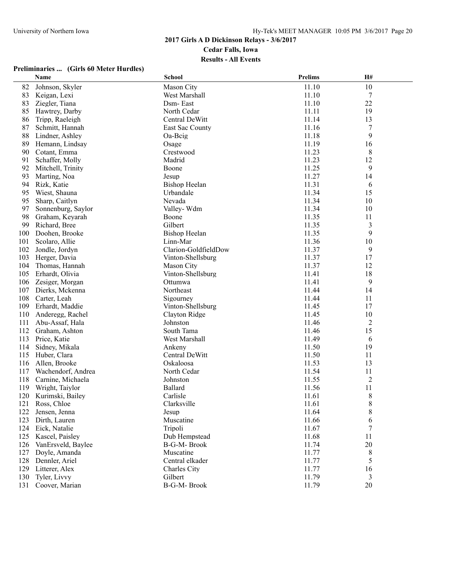# **2017 Girls A D Dickinson Relays - 3/6/2017 Cedar Falls, Iowa**

**Results - All Events**

## **Preliminaries ... (Girls 60 Meter Hurdles)**

|     | Name               | <b>School</b>          | <b>Prelims</b> | H# |  |
|-----|--------------------|------------------------|----------------|----|--|
| 82  | Johnson, Skyler    | Mason City             | 11.10          | 10 |  |
| 83  | Keigan, Lexi       | West Marshall          | 11.10          | 7  |  |
| 83  | Ziegler, Tiana     | Dsm-East               | 11.10          | 22 |  |
| 85  | Hawtrey, Darby     | North Cedar            | 11.11          | 19 |  |
| 86  | Tripp, Raeleigh    | Central DeWitt         | 11.14          | 13 |  |
| 87  | Schmitt, Hannah    | <b>East Sac County</b> | 11.16          | 7  |  |
| 88  | Lindner, Ashley    | Oa-Beig                | 11.18          | 9  |  |
| 89  | Hemann, Lindsay    | Osage                  | 11.19          | 16 |  |
| 90  | Cotant, Emma       | Crestwood              | 11.23          | 8  |  |
| 91  | Schaffer, Molly    | Madrid                 | 11.23          | 12 |  |
| 92  | Mitchell, Trinity  | Boone                  | 11.25          | 9  |  |
| 93  | Marting, Noa       | Jesup                  | 11.27          | 14 |  |
| 94  | Rizk, Katie        | <b>Bishop Heelan</b>   | 11.31          | 6  |  |
| 95  | Wiest, Shauna      | Urbandale              | 11.34          | 15 |  |
| 95  | Sharp, Caitlyn     | Nevada                 | 11.34          | 10 |  |
| 97  | Sonnenburg, Saylor | Valley-Wdm             | 11.34          | 10 |  |
| 98  | Graham, Keyarah    | Boone                  | 11.35          | 11 |  |
| 99  | Richard, Bree      | Gilbert                | 11.35          | 3  |  |
| 100 | Doohen, Brooke     | <b>Bishop Heelan</b>   | 11.35          | 9  |  |
| 101 | Scolaro, Allie     | Linn-Mar               | 11.36          | 10 |  |
| 102 | Jondle, Jordyn     | Clarion-GoldfieldDow   | 11.37          | 9  |  |
| 103 | Herger, Davia      | Vinton-Shellsburg      | 11.37          | 17 |  |
| 104 | Thomas, Hannah     | Mason City             | 11.37          | 12 |  |
| 105 | Erhardt, Olivia    | Vinton-Shellsburg      | 11.41          | 18 |  |
| 106 | Zesiger, Morgan    | Ottumwa                | 11.41          | 9  |  |
| 107 | Dierks, Mckenna    | Northeast              | 11.44          | 14 |  |
| 108 | Carter, Leah       | Sigourney              | 11.44          | 11 |  |
| 109 | Erhardt, Maddie    | Vinton-Shellsburg      | 11.45          | 17 |  |
| 110 | Anderegg, Rachel   | Clayton Ridge          | 11.45          | 10 |  |
| 111 | Abu-Assaf, Hala    | Johnston               | 11.46          | 2  |  |
| 112 | Graham, Ashton     | South Tama             | 11.46          | 15 |  |
| 113 | Price, Katie       | West Marshall          | 11.49          | 6  |  |
| 114 | Sidney, Mikala     | Ankeny                 | 11.50          | 19 |  |
| 115 | Huber, Clara       | Central DeWitt         | 11.50          | 11 |  |
| 116 | Allen, Brooke      | Oskaloosa              | 11.53          | 13 |  |
| 117 | Wachendorf, Andrea | North Cedar            | 11.54          | 11 |  |
| 118 | Carnine, Michaela  | Johnston               | 11.55          | 2  |  |
| 119 | Wright, Taiylor    | Ballard                | 11.56          | 11 |  |
| 120 | Kurimski, Bailey   | Carlisle               | 11.61          | 8  |  |
|     | 121 Ross, Chloe    | Clarksville            | 11.61          | 8  |  |
| 122 | Jensen, Jenna      | Jesup                  | 11.64          | 8  |  |
| 123 | Dirth, Lauren      | Muscatine              | 11.66          | 6  |  |
| 124 | Eick, Natalie      | Tripoli                | 11.67          | 7  |  |
| 125 | Kascel, Paisley    | Dub Hempstead          | 11.68          | 11 |  |
| 126 | VanErsveld, Baylee | B-G-M-Brook            | 11.74          | 20 |  |
| 127 | Doyle, Amanda      | Muscatine              | 11.77          | 8  |  |
| 128 | Dennler, Ariel     | Central elkader        | 11.77          | 5  |  |
| 129 | Litterer, Alex     | Charles City           | 11.77          | 16 |  |
| 130 | Tyler, Livvy       | Gilbert                | 11.79          | 3  |  |
| 131 | Coover, Marian     | B-G-M-Brook            | 11.79          | 20 |  |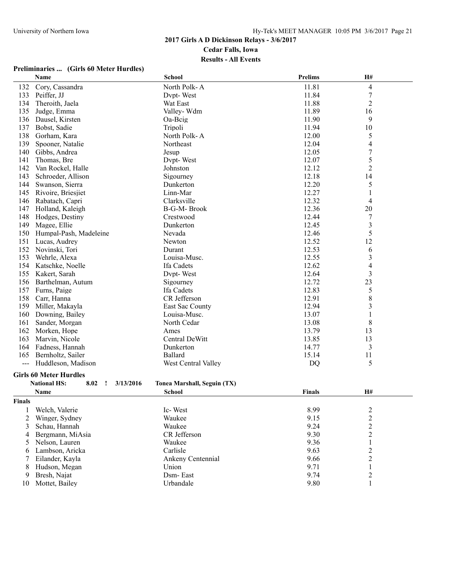# **Preliminaries ... (Girls 60 Meter Hurdles)**

|        | Name                                                     | <b>School</b>               | Prelims       | H#                               |  |
|--------|----------------------------------------------------------|-----------------------------|---------------|----------------------------------|--|
| 132    | Cory, Cassandra                                          | North Polk-A                | 11.81         | 4                                |  |
| 133    | Peiffer, JJ                                              | Dvpt-West                   | 11.84         | $\boldsymbol{7}$                 |  |
| 134    | Theroith, Jaela                                          | Wat East                    | 11.88         | 2                                |  |
| 135    | Judge, Emma                                              | Valley-Wdm                  | 11.89         | 16                               |  |
| 136    | Dausel, Kirsten                                          | Oa-Beig                     | 11.90         | 9                                |  |
| 137    | Bobst, Sadie                                             | Tripoli                     | 11.94         | 10                               |  |
| 138    | Gorham, Kara                                             | North Polk-A                | 12.00         | 5                                |  |
| 139    | Spooner, Natalie                                         | Northeast                   | 12.04         | 4                                |  |
| 140    | Gibbs, Andrea                                            | Jesup                       | 12.05         | 7                                |  |
| 141    | Thomas, Bre                                              | Dvpt-West                   | 12.07         | 5                                |  |
| 142    | Van Rockel, Halle                                        | Johnston                    | 12.12         | $\overline{c}$                   |  |
| 143    | Schroeder, Allison                                       | Sigourney                   | 12.18         | 14                               |  |
| 144    | Swanson, Sierra                                          | Dunkerton                   | 12.20         | 5                                |  |
| 145    | Rivoire, Briesjiet                                       | Linn-Mar                    | 12.27         | 1                                |  |
| 146    | Rabatach, Capri                                          | Clarksville                 | 12.32         | 4                                |  |
| 147    | Holland, Kaleigh                                         | B-G-M-Brook                 | 12.36         | 20                               |  |
| 148    | Hodges, Destiny                                          | Crestwood                   | 12.44         | 7                                |  |
| 149    | Magee, Ellie                                             | Dunkerton                   | 12.45         | $\mathfrak{Z}$                   |  |
| 150    | Humpal-Pash, Madeleine                                   | Nevada                      | 12.46         | 5                                |  |
| 151    |                                                          | Newton                      | 12.52         | 12                               |  |
| 152    | Lucas, Audrey                                            | Durant                      | 12.53         |                                  |  |
| 153    | Novinski, Tori                                           |                             | 12.55         | 6                                |  |
| 154    | Wehrle, Alexa                                            | Louisa-Musc.<br>Ifa Cadets  |               | $\mathfrak{Z}$<br>$\overline{4}$ |  |
|        | Katschke, Noelle                                         |                             | 12.62         |                                  |  |
| 155    | Kakert, Sarah                                            | Dvpt-West                   | 12.64         | 3                                |  |
| 156    | Barthelman, Autum                                        | Sigourney                   | 12.72         | 23                               |  |
| 157    | Furns, Paige                                             | Ifa Cadets                  | 12.83         | 5                                |  |
| 158    | Carr, Hanna                                              | CR Jefferson                | 12.91         | 8                                |  |
| 159    | Miller, Makayla                                          | East Sac County             | 12.94         | $\mathfrak{Z}$                   |  |
| 160    | Downing, Bailey                                          | Louisa-Musc.                | 13.07         | $\mathbf{1}$                     |  |
| 161    | Sander, Morgan                                           | North Cedar                 | 13.08         | 8                                |  |
| 162    | Morken, Hope                                             | Ames                        | 13.79         | 13                               |  |
| 163    | Marvin, Nicole                                           | Central DeWitt              | 13.85         | 13                               |  |
| 164    | Fadness, Hannah                                          | Dunkerton                   | 14.77         | 3                                |  |
| 165    | Bernholtz, Sailer                                        | Ballard                     | 15.14         | 11                               |  |
| $---$  | Huddleson, Madison                                       | West Central Valley         | <b>DQ</b>     | 5                                |  |
|        | <b>Girls 60 Meter Hurdles</b>                            |                             |               |                                  |  |
|        | <b>National HS:</b><br>8.02<br>3/13/2016<br>$\mathbf{I}$ | Tonea Marshall, Seguin (TX) |               |                                  |  |
|        | Name                                                     | School                      | <b>Finals</b> | H#                               |  |
| Finals |                                                          |                             |               |                                  |  |
| 1      | Welch, Valerie                                           | Ic-West                     | 8.99          |                                  |  |
| 2      | Winger, Sydney                                           | Waukee                      | 9.15          | $\frac{2}{2}$                    |  |
| 3      | Schau, Hannah                                            | Waukee                      | 9.24          | $\overline{\mathbf{c}}$          |  |
| 4      | Bergmann, MiAsia                                         | CR Jefferson                | 9.30          | $\overline{c}$                   |  |
|        |                                                          | Waukee                      | 9.36          |                                  |  |
| 5      | Nelson, Lauren                                           |                             |               | $\,1$                            |  |
| 6      | Lambson, Aricka                                          | Carlisle                    | 9.63          | $\overline{c}$                   |  |
| 7      | Eilander, Kayla                                          | Ankeny Centennial           | 9.66          | $\overline{c}$                   |  |
| 8      | Hudson, Megan                                            | Union                       | 9.71          | $\mathbf{1}$                     |  |
| 9      | Bresh, Najat                                             | Dsm-East                    | 9.74          | $\overline{c}$                   |  |
| 10     | Mottet, Bailey                                           | Urbandale                   | 9.80          | 1                                |  |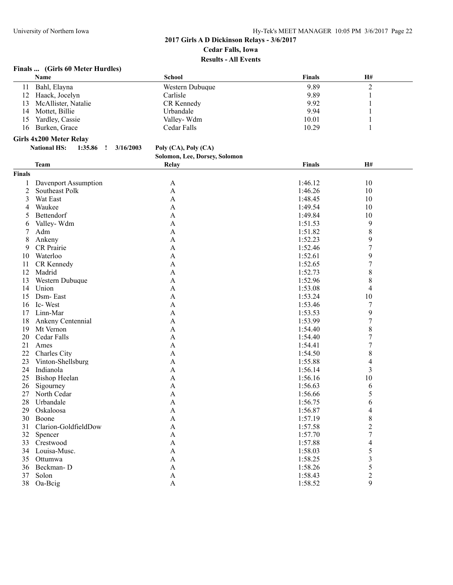# **Finals ... (Girls 60 Meter Hurdles)**

|                | Name                                      | <b>School</b>                     | <b>Finals</b> | H#                      |  |
|----------------|-------------------------------------------|-----------------------------------|---------------|-------------------------|--|
| 11             | Bahl, Elayna                              | Western Dubuque                   | 9.89          | $\overline{c}$          |  |
| 12             | Haack, Jocelyn                            | Carlisle                          | 9.89          | 1                       |  |
| 13             | McAllister, Natalie                       | CR Kennedy                        | 9.92          |                         |  |
| 14             | Mottet, Billie                            | Urbandale                         | 9.94          |                         |  |
| 15             | Yardley, Cassie                           | Valley-Wdm                        | 10.01         |                         |  |
| 16             | Burken, Grace                             | Cedar Falls                       | 10.29         | 1                       |  |
|                | Girls 4x200 Meter Relay                   |                                   |               |                         |  |
|                | <b>National HS:</b><br>1:35.86<br>$\cdot$ | 3/16/2003<br>Poly (CA), Poly (CA) |               |                         |  |
|                |                                           | Solomon, Lee, Dorsey, Solomon     |               |                         |  |
|                |                                           |                                   |               | H#                      |  |
|                | <b>Team</b>                               | Relay                             | <b>Finals</b> |                         |  |
| <b>Finals</b>  |                                           |                                   |               |                         |  |
| 1              | Davenport Assumption                      | A                                 | 1:46.12       | 10                      |  |
| $\overline{c}$ | Southeast Polk                            | A                                 | 1:46.26       | 10                      |  |
| 3              | Wat East                                  | A                                 | 1:48.45       | 10                      |  |
| 4              | Waukee                                    | A                                 | 1:49.54       | 10                      |  |
| 5              | Bettendorf                                | A                                 | 1:49.84       | 10                      |  |
| 6              | Valley-Wdm                                | A                                 | 1:51.53       | 9                       |  |
| 7              | Adm                                       | A                                 | 1:51.82       | 8                       |  |
| 8              | Ankeny                                    | A                                 | 1:52.23       | 9                       |  |
| 9              | CR Prairie                                | A                                 | 1:52.46       | 7                       |  |
| 10             | Waterloo                                  | A                                 | 1:52.61       | 9                       |  |
| 11             | CR Kennedy                                | A                                 | 1:52.65       | 7                       |  |
| 12             | Madrid                                    | A                                 | 1:52.73       | 8                       |  |
| 13             | Western Dubuque                           | A                                 | 1:52.96       | 8                       |  |
| 14             | Union                                     | A                                 | 1:53.08       | 4                       |  |
| 15             | Dsm-East                                  | A                                 | 1:53.24       | 10                      |  |
| 16             | Ic-West                                   | A                                 | 1:53.46       | 7                       |  |
| 17             | Linn-Mar                                  | A                                 | 1:53.53       | 9                       |  |
| 18             | Ankeny Centennial                         | A                                 | 1:53.99       | $\boldsymbol{7}$        |  |
| 19             | Mt Vernon                                 | A                                 | 1:54.40       | 8                       |  |
| 20             | Cedar Falls                               | A                                 | 1:54.40       | 7                       |  |
| 21             | Ames                                      | A                                 | 1:54.41       | 7                       |  |
| 22             | Charles City                              | A                                 | 1:54.50       | 8                       |  |
| 23             | Vinton-Shellsburg                         | A                                 | 1:55.88       | 4                       |  |
| 24             | Indianola                                 | A                                 | 1:56.14       | 3                       |  |
| 25             | <b>Bishop Heelan</b>                      | A                                 | 1:56.16       | 10                      |  |
| 26             | Sigourney                                 | A                                 | 1:56.63       | 6                       |  |
| 27             | North Cedar                               | A                                 | 1:56.66       | 5                       |  |
|                | 28 Urbandale                              | A                                 | 1:56.75       | 6                       |  |
| 29             | Oskaloosa                                 | A                                 | 1:56.87       | 4                       |  |
| 30             | Boone                                     | A                                 | 1:57.19       | 8                       |  |
| 31             | Clarion-GoldfieldDow                      | A                                 | 1:57.58       | $\overline{\mathbf{c}}$ |  |
| 32             | Spencer                                   | A                                 | 1:57.70       | 7                       |  |
| 33             | Crestwood                                 | A                                 | 1:57.88       | 4                       |  |
| 34             | Louisa-Musc.                              | A                                 | 1:58.03       | 5                       |  |
| 35             | Ottumwa                                   | A                                 | 1:58.25       | 3                       |  |
| 36             | Beckman-D                                 | A                                 | 1:58.26       | 5                       |  |
| 37             | Solon                                     | A                                 | 1:58.43       | 2                       |  |
|                | 38 Oa-Beig                                | A                                 | 1:58.52       | 9                       |  |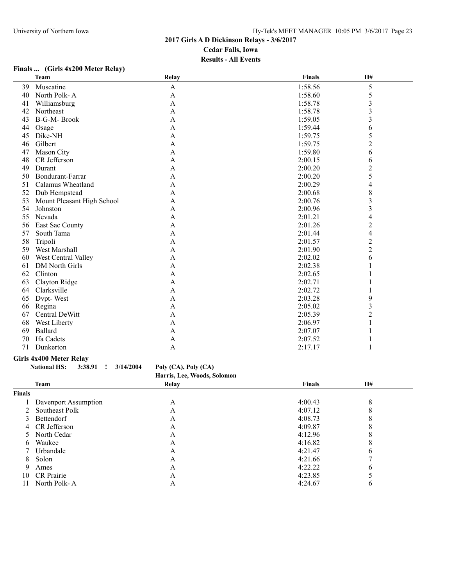## **Finals ... (Girls 4x200 Meter Relay)**

|    | <b>Team</b>                | <b>Relay</b> | <b>Finals</b> | H#             |  |
|----|----------------------------|--------------|---------------|----------------|--|
| 39 | Muscatine                  | A            | 1:58.56       | 5              |  |
| 40 | North Polk-A               | A            | 1:58.60       | 5              |  |
| 41 | Williamsburg               | A            | 1:58.78       | 3              |  |
| 42 | Northeast                  | A            | 1:58.78       | 3              |  |
| 43 | <b>B-G-M-Brook</b>         | A            | 1:59.05       | 3              |  |
| 44 | Osage                      | A            | 1:59.44       | 6              |  |
| 45 | Dike-NH                    | A            | 1:59.75       | 5              |  |
| 46 | Gilbert                    | A            | 1:59.75       | $\overline{c}$ |  |
| 47 | Mason City                 | A            | 1:59.80       | 6              |  |
| 48 | CR Jefferson               | A            | 2:00.15       | 6              |  |
| 49 | Durant                     | A            | 2:00.20       | $\overline{c}$ |  |
| 50 | Bondurant-Farrar           | A            | 2:00.20       | 5              |  |
| 51 | Calamus Wheatland          | A            | 2:00.29       | 4              |  |
| 52 | Dub Hempstead              | A            | 2:00.68       | 8              |  |
| 53 | Mount Pleasant High School | A            | 2:00.76       | 3              |  |
| 54 | Johnston                   | A            | 2:00.96       | 3              |  |
| 55 | Nevada                     | A            | 2:01.21       | 4              |  |
| 56 | East Sac County            | A            | 2:01.26       | $\overline{c}$ |  |
| 57 | South Tama                 | A            | 2:01.44       | $\overline{4}$ |  |
| 58 | Tripoli                    | A            | 2:01.57       | $\overline{c}$ |  |
| 59 | West Marshall              | A            | 2:01.90       | $\overline{2}$ |  |
| 60 | West Central Valley        | A            | 2:02.02       | 6              |  |
| 61 | DM North Girls             | A            | 2:02.38       |                |  |
| 62 | Clinton                    | A            | 2:02.65       |                |  |
| 63 | Clayton Ridge              | $\mathbf{A}$ | 2:02.71       |                |  |
| 64 | Clarksville                | A            | 2:02.72       |                |  |
| 65 | Dvpt-West                  | A            | 2:03.28       | 9              |  |
| 66 | Regina                     | A            | 2:05.02       | 3              |  |
| 67 | Central DeWitt             | A            | 2:05.39       | $\overline{2}$ |  |
| 68 | West Liberty               | A            | 2:06.97       |                |  |
| 69 | Ballard                    | $\mathbf{A}$ | 2:07.07       |                |  |
| 70 | Ifa Cadets                 | A            | 2:07.52       |                |  |
| 71 | Dunkerton                  | A            | 2:17.17       |                |  |
|    |                            |              |               |                |  |

#### **Girls 4x400 Meter Relay**

| National HS: |  | $3:38.91$ $\mid$ $3/14/2004$ | Poly (CA), Poly (CA)        |
|--------------|--|------------------------------|-----------------------------|
|              |  |                              | Harris, Lee, Woods, Solomon |

|               | <b>Team</b>          | Relay | Finals  | H# |  |
|---------------|----------------------|-------|---------|----|--|
| Finals        |                      |       |         |    |  |
|               | Davenport Assumption | А     | 4:00.43 |    |  |
| 2             | Southeast Polk       | A     | 4:07.12 |    |  |
| $\mathcal{E}$ | Bettendorf           | A     | 4:08.73 |    |  |
|               | 4 CR Jefferson       | A     | 4:09.87 |    |  |
|               | 5 North Cedar        | A     | 4:12.96 |    |  |
| 6             | Waukee               | A     | 4:16.82 |    |  |
|               | Urbandale            | А     | 4:21.47 |    |  |
| 8.            | Solon                | А     | 4:21.66 |    |  |
| 9             | Ames                 | А     | 4:22.22 | h  |  |
| 10            | CR Prairie           | А     | 4:23.85 |    |  |
| 11            | North Polk-A         | A     | 4:24.67 | n  |  |
|               |                      |       |         |    |  |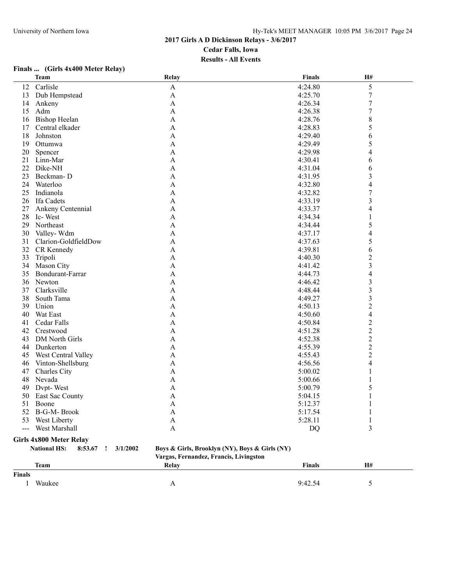# **Finals ... (Girls 4x400 Meter Relay)**

|        | <b>Team</b>                                     | Relay                                          | <b>Finals</b> | H#               |  |
|--------|-------------------------------------------------|------------------------------------------------|---------------|------------------|--|
| 12     | Carlisle                                        | $\mathbf{A}$                                   | 4:24.80       | 5                |  |
| 13     | Dub Hempstead                                   | A                                              | 4:25.70       | $\boldsymbol{7}$ |  |
| 14     | Ankeny                                          | $\mathbf{A}$                                   | 4:26.34       | $\boldsymbol{7}$ |  |
| 15     | Adm                                             | A                                              | 4:26.38       | $\boldsymbol{7}$ |  |
| 16     | <b>Bishop Heelan</b>                            | A                                              | 4:28.76       | $\,$ $\,$        |  |
| 17     | Central elkader                                 | A                                              | 4:28.83       | 5                |  |
| 18     | Johnston                                        | $\mathbf{A}$                                   | 4:29.40       | 6                |  |
| 19     | Ottumwa                                         | A                                              | 4:29.49       | 5                |  |
| 20     | Spencer                                         | A                                              | 4:29.98       | 4                |  |
| 21     | Linn-Mar                                        | $\mathbf{A}$                                   | 4:30.41       | 6                |  |
| 22     | Dike-NH                                         | A                                              | 4:31.04       | 6                |  |
| 23     | Beckman-D                                       | A                                              | 4:31.95       | 3                |  |
| 24     | Waterloo                                        | A                                              | 4:32.80       | $\overline{4}$   |  |
| 25     | Indianola                                       | $\mathbf{A}$                                   | 4:32.82       | $\overline{7}$   |  |
| 26     | Ifa Cadets                                      | A                                              | 4:33.19       | 3                |  |
| 27     | Ankeny Centennial                               | A                                              | 4:33.37       | 4                |  |
| 28     | Ic-West                                         | A                                              | 4:34.34       | 1                |  |
| 29     | Northeast                                       | A                                              | 4:34.44       | 5                |  |
| 30     | Valley-Wdm                                      | $\mathbf{A}$                                   | 4:37.17       | 4                |  |
| 31     | Clarion-GoldfieldDow                            | $\mathbf{A}$                                   | 4:37.63       | 5                |  |
| 32     | CR Kennedy                                      | $\mathbf{A}$                                   | 4:39.81       | 6                |  |
| 33     | Tripoli                                         | $\mathbf{A}$                                   | 4:40.30       | $\overline{c}$   |  |
| 34     | Mason City                                      | A                                              | 4:41.42       | 3                |  |
| 35     | Bondurant-Farrar                                | $\mathbf{A}$                                   | 4:44.73       | 4                |  |
| 36     | Newton                                          | $\mathbf{A}$                                   | 4:46.42       | $\mathfrak{Z}$   |  |
| 37     | Clarksville                                     | $\mathbf{A}$                                   | 4:48.44       | 3                |  |
| 38     | South Tama                                      | $\mathbf{A}$                                   | 4:49.27       | 3                |  |
| 39     | Union                                           | $\mathbf{A}$                                   | 4:50.13       | $\overline{c}$   |  |
| 40     | Wat East                                        | A                                              | 4:50.60       | 4                |  |
| 41     | Cedar Falls                                     | $\mathbf{A}$                                   | 4:50.84       | $\boldsymbol{2}$ |  |
| 42     | Crestwood                                       | $\mathbf{A}$                                   | 4:51.28       | $\overline{c}$   |  |
| 43     | DM North Girls                                  | A                                              | 4:52.38       | $\overline{c}$   |  |
| 44     | Dunkerton                                       | A                                              | 4:55.39       | $\boldsymbol{2}$ |  |
| 45     | West Central Valley                             | A                                              | 4:55.43       | $\overline{c}$   |  |
| 46     | Vinton-Shellsburg                               | A                                              | 4:56.56       | 4                |  |
| 47     | Charles City                                    | A                                              | 5:00.02       | 1                |  |
| 48     | Nevada                                          | $\mathbf{A}$                                   | 5:00.66       |                  |  |
| 49     | Dvpt-West                                       | $\mathbf{A}$                                   | 5:00.79       | 5                |  |
| 50     | East Sac County                                 | A                                              | 5:04.15       |                  |  |
|        | 51 Boone                                        | A                                              | 5:12.37       |                  |  |
|        | 52 B-G-M- Brook                                 | A                                              | 5:17.54       | 1                |  |
| 53     | West Liberty                                    | A                                              | 5:28.11       |                  |  |
| $---$  | West Marshall                                   | A                                              | DQ            | 3                |  |
|        | Girls 4x800 Meter Relay                         |                                                |               |                  |  |
|        | <b>National HS:</b><br>3/1/2002<br>8:53.67<br>÷ | Boys & Girls, Brooklyn (NY), Boys & Girls (NY) |               |                  |  |
|        |                                                 | Vargas, Fernandez, Francis, Livingston         |               |                  |  |
|        | <b>Team</b>                                     | Relay                                          | Finals        | H#               |  |
| Finals |                                                 |                                                |               |                  |  |
| 1      | Waukee                                          | A                                              | 9:42.54       | 5                |  |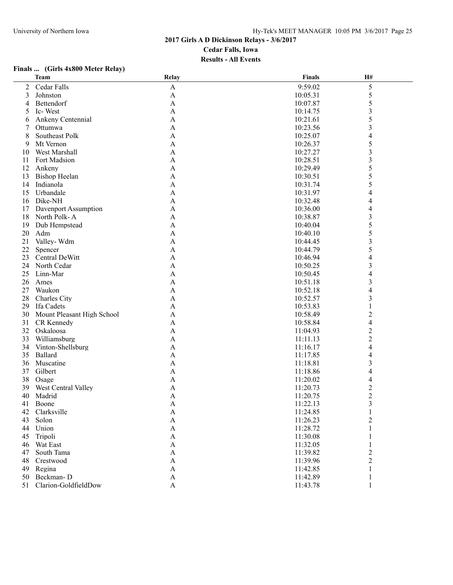#### **Finals ... (Girls 4x800 Meter Relay)**

|    | <b>Team</b>                | Relay                     | <b>Finals</b> | H#                       |  |
|----|----------------------------|---------------------------|---------------|--------------------------|--|
| 2  | Cedar Falls                | $\mathbf{A}$              | 9:59.02       | $\mathfrak s$            |  |
| 3  | Johnston                   | $\boldsymbol{\mathsf{A}}$ | 10:05.31      | 5                        |  |
| 4  | Bettendorf                 | $\mathbf{A}$              | 10:07.87      | 5                        |  |
| 5  | Ic-West                    | A                         | 10:14.75      | $\mathfrak{Z}$           |  |
| 6  | Ankeny Centennial          | A                         | 10:21.61      | 5                        |  |
| 7  | Ottumwa                    | $\mathbf{A}$              | 10:23.56      | 3                        |  |
| 8  | Southeast Polk             | $\mathbf{A}$              | 10:25.07      | 4                        |  |
| 9  | Mt Vernon                  | $\mathbf{A}$              | 10:26.37      | 5                        |  |
| 10 | West Marshall              | $\mathbf{A}$              | 10:27.27      | 3                        |  |
| 11 | Fort Madsion               | $\mathbf{A}$              | 10:28.51      | 3                        |  |
| 12 | Ankeny                     | $\mathbf{A}$              | 10:29.49      | 5                        |  |
| 13 | <b>Bishop Heelan</b>       | $\mathbf{A}$              | 10:30.51      | 5                        |  |
| 14 | Indianola                  | $\mathbf{A}$              | 10:31.74      | 5                        |  |
| 15 | Urbandale                  | $\boldsymbol{\mathsf{A}}$ | 10:31.97      | 4                        |  |
| 16 | Dike-NH                    | $\mathbf{A}$              | 10:32.48      | 4                        |  |
| 17 | Davenport Assumption       | A                         | 10:36.00      | 4                        |  |
| 18 | North Polk-A               | A                         | 10:38.87      | 3                        |  |
| 19 | Dub Hempstead              | $\mathbf{A}$              | 10:40.04      | 5                        |  |
| 20 | Adm                        | $\mathbf{A}$              |               |                          |  |
| 21 | Valley-Wdm                 | $\mathbf{A}$              | 10:40.10      | 5                        |  |
|    |                            |                           | 10:44.45      | $\mathfrak{Z}$           |  |
| 22 | Spencer                    | $\mathbf{A}$              | 10:44.79      | 5                        |  |
| 23 | Central DeWitt             | $\mathbf{A}$              | 10:46.94      | 4                        |  |
| 24 | North Cedar                | $\mathbf{A}$              | 10:50.25      | 3                        |  |
| 25 | Linn-Mar                   | $\mathbf{A}$              | 10:50.45      | $\overline{4}$           |  |
| 26 | Ames                       | $\mathbf{A}$              | 10:51.18      | 3                        |  |
| 27 | Waukon                     | $\boldsymbol{\mathsf{A}}$ | 10:52.18      | $\overline{\mathcal{L}}$ |  |
| 28 | Charles City               | $\mathbf{A}$              | 10:52.57      | 3                        |  |
| 29 | Ifa Cadets                 | A                         | 10:53.83      | 1                        |  |
| 30 | Mount Pleasant High School | A                         | 10:58.49      | $\overline{c}$           |  |
| 31 | CR Kennedy                 | $\mathbf{A}$              | 10:58.84      | $\overline{\mathcal{L}}$ |  |
| 32 | Oskaloosa                  | $\mathbf{A}$              | 11:04.93      | $\overline{c}$           |  |
| 33 | Williamsburg               | $\mathbf{A}$              | 11:11.13      | $\overline{c}$           |  |
| 34 | Vinton-Shellsburg          | $\mathbf{A}$              | 11:16.17      | 4                        |  |
| 35 | Ballard                    | A                         | 11:17.85      | 4                        |  |
| 36 | Muscatine                  | A                         | 11:18.81      | 3                        |  |
| 37 | Gilbert                    | A                         | 11:18.86      | 4                        |  |
| 38 | Osage                      | A                         | 11:20.02      | 4                        |  |
| 39 | West Central Valley        | A                         | 11:20.73      | $\overline{\mathbf{c}}$  |  |
| 40 | Madrid                     | A                         | 11:20.75      | $\overline{2}$           |  |
|    | 41 Boone                   | A                         | 11:22.13      | 3                        |  |
| 42 | Clarksville                | A                         | 11:24.85      | 1                        |  |
| 43 | Solon                      | A                         | 11:26.23      | $\overline{2}$           |  |
| 44 | Union                      | A                         | 11:28.72      | 1                        |  |
| 45 | Tripoli                    | A                         | 11:30.08      |                          |  |
|    | 46 Wat East                | A                         | 11:32.05      |                          |  |
| 47 | South Tama                 | $\mathbf{A}$              | 11:39.82      | 2                        |  |
| 48 | Crestwood                  | A                         | 11:39.96      | 2                        |  |
| 49 | Regina                     | A                         | 11:42.85      |                          |  |
|    | 50 Beckman-D               | $\mathbf{A}$              | 11:42.89      |                          |  |
|    | 51 Clarion-GoldfieldDow    | $\boldsymbol{\mathsf{A}}$ | 11:43.78      |                          |  |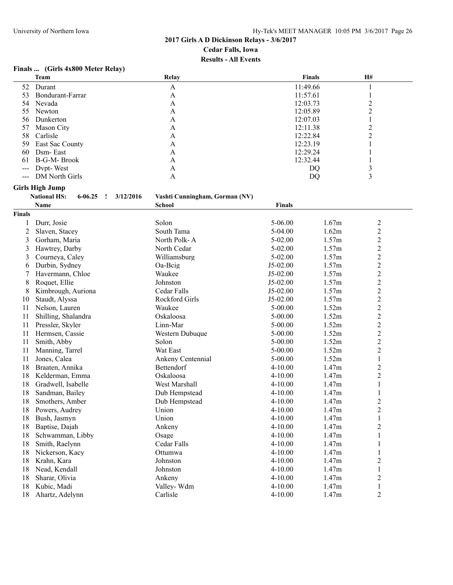# **Finals ... (Girls 4x800 Meter Relay)**

|               | <b>Team</b>                                     | Relay                                           | <b>Finals</b> |       | H#                      |
|---------------|-------------------------------------------------|-------------------------------------------------|---------------|-------|-------------------------|
| 52            | Durant                                          | A                                               | 11:49.66      |       |                         |
| 53            | Bondurant-Farrar                                | $\mathbf{A}$                                    | 11:57.61      |       | 1                       |
| 54            | Nevada                                          | A                                               | 12:03.73      |       | $\overline{c}$          |
| 55            | Newton                                          | A                                               | 12:05.89      |       | $\overline{2}$          |
| 56            | Dunkerton                                       | A                                               | 12:07.03      |       | $\mathbf{1}$            |
| 57            | Mason City                                      | A                                               | 12:11.38      |       | $\overline{2}$          |
| 58            | Carlisle                                        | A                                               | 12:22.84      |       | $\overline{2}$          |
| 59            | East Sac County                                 | A                                               | 12:23.19      |       | 1                       |
| 60            | Dsm-East                                        | A                                               | 12:29.24      |       |                         |
| 61            | B-G-M-Brook                                     | A                                               | 12:32.44      |       | 1                       |
|               | Dvpt-West                                       | A                                               | DQ            |       | $\overline{\mathbf{3}}$ |
|               | <b>DM</b> North Girls                           | A                                               | DQ            |       | 3                       |
|               | <b>Girls High Jump</b>                          |                                                 |               |       |                         |
|               | <b>National HS:</b><br>$6 - 06.25$<br>3/12/2016 |                                                 |               |       |                         |
|               |                                                 | Vashti Cunningham, Gorman (NV)<br><b>School</b> | <b>Finals</b> |       |                         |
|               | Name                                            |                                                 |               |       |                         |
| <b>Finals</b> |                                                 |                                                 |               |       |                         |
|               | Durr, Josie                                     | Solon                                           | 5-06.00       | 1.67m | $\overline{c}$          |
| 2             | Slaven, Stacey                                  | South Tama                                      | $5-04.00$     | 1.62m | $\overline{c}$          |
| 3             | Gorham, Maria                                   | North Polk-A                                    | $5 - 02.00$   | 1.57m | $\overline{c}$          |
| 3             | Hawtrey, Darby                                  | North Cedar                                     | 5-02.00       | 1.57m | $\overline{c}$          |
| 3             | Courneya, Caley                                 | Williamsburg                                    | $5 - 02.00$   | 1.57m | $\overline{c}$          |
| 6             | Durbin, Sydney                                  | Oa-Beig                                         | $J5-02.00$    | 1.57m | $\overline{c}$          |
| 7             | Havermann, Chloe                                | Waukee                                          | $J5-02.00$    | 1.57m | $\overline{c}$          |
| 8             | Roquet, Ellie                                   | Johnston                                        | $J5-02.00$    | 1.57m | $\overline{c}$          |
| 8             | Kimbrough, Auriona                              | Cedar Falls                                     | $J5-02.00$    | 1.57m | $\overline{c}$          |
| 10            | Staudt, Alyssa                                  | Rockford Girls                                  | $J5-02.00$    | 1.57m | $\overline{\mathbf{c}}$ |
| 11            | Nelson, Lauren                                  | Waukee                                          | 5-00.00       | 1.52m | $\overline{c}$          |
| 11            | Shilling, Shalandra                             | Oskaloosa                                       | 5-00.00       | 1.52m | $\overline{c}$          |
| 11            | Pressler, Skyler                                | Linn-Mar                                        | 5-00.00       | 1.52m | $\overline{c}$          |
| 11            | Hermsen, Cassie                                 | Western Dubuque                                 | $5 - 00.00$   | 1.52m | $\overline{c}$          |
| 11            | Smith, Abby                                     | Solon                                           | $5 - 00.00$   | 1.52m | $\overline{c}$          |
| 11            | Manning, Tarrel                                 | Wat East                                        | 5-00.00       | 1.52m | $\overline{c}$          |
| 11            | Jones, Calea                                    | Ankeny Centennial                               | $5 - 00.00$   | 1.52m | $\mathbf{1}$            |
| 18            | Braaten, Annika                                 | Bettendorf                                      | 4-10.00       | 1.47m | $\overline{c}$          |
| 18            | Kelderman, Emma                                 | Oskaloosa                                       | $4 - 10.00$   | 1.47m | $\overline{c}$          |
| 18            | Gradwell, Isabelle                              | West Marshall                                   | $4 - 10.00$   | 1.47m | $\mathbf{1}$            |
| 18            | Sandman, Bailey                                 | Dub Hempstead                                   | $4 - 10.00$   | 1.47m | 1                       |
| 18            | Smothers, Amber                                 | Dub Hempstead                                   | $4 - 10.00$   | 1.47m | $\overline{c}$          |
| 18            | Powers, Audrey                                  | Union                                           | $4 - 10.00$   | 1.47m | 2                       |
| 18            | Bush, Jasmyn                                    | Union                                           | 4-10.00       | 1.47m | 1                       |
| 18            | Baptise, Dajah                                  | Ankeny                                          | 4-10.00       | 1.47m | 2                       |
| 18            | Schwamman, Libby                                | Osage                                           | $4 - 10.00$   | 1.47m | 1                       |
| 18            | Smith, Raelynn                                  | Cedar Falls                                     | $4 - 10.00$   | 1.47m | 1                       |
| 18            | Nickerson, Kacy                                 | Ottumwa                                         | 4-10.00       | 1.47m | 1                       |
| 18            | Krahn, Kara                                     | Johnston                                        | 4-10.00       | 1.47m | $\overline{c}$          |
| 18            | Nead, Kendall                                   | Johnston                                        | 4-10.00       | 1.47m | $\mathbf{1}$            |
| 18            | Sharar, Olivia                                  | Ankeny                                          | 4-10.00       | 1.47m | $\overline{c}$          |
|               |                                                 |                                                 | $4 - 10.00$   | 1.47m |                         |
| 18            | Kubic, Madi                                     | Valley-Wdm                                      |               |       | $\mathbf{1}$            |
| 18            | Ahartz, Adelynn                                 | Carlisle                                        | 4-10.00       | 1.47m | $\overline{c}$          |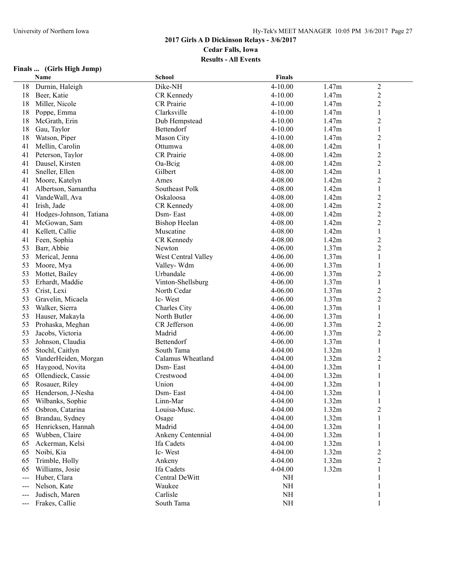# **2017 Girls A D Dickinson Relays - 3/6/2017**

**Cedar Falls, Iowa**

**Results - All Events**

# **Finals ... (Girls High Jump)**

|                            | Name                            | <b>School</b>        | <b>Finals</b> |       |                         |
|----------------------------|---------------------------------|----------------------|---------------|-------|-------------------------|
| 18                         | Durnin, Haleigh                 | Dike-NH              | $4 - 10.00$   | 1.47m | $\boldsymbol{2}$        |
| 18                         | Beer, Katie                     | CR Kennedy           | 4-10.00       | 1.47m | $\overline{c}$          |
| 18                         | Miller, Nicole                  | CR Prairie           | 4-10.00       | 1.47m | $\overline{c}$          |
| 18                         | Poppe, Emma                     | Clarksville          | 4-10.00       | 1.47m | 1                       |
| 18                         | McGrath, Erin                   | Dub Hempstead        | $4 - 10.00$   | 1.47m | $\overline{2}$          |
| 18                         | Gau, Taylor                     | Bettendorf           | $4 - 10.00$   | 1.47m | 1                       |
| 18                         | Watson, Piper                   | Mason City           | $4 - 10.00$   | 1.47m | $\overline{c}$          |
| 41                         | Mellin, Carolin                 | Ottumwa              | 4-08.00       | 1.42m | $\mathbf{1}$            |
| 41                         | Peterson, Taylor                | <b>CR</b> Prairie    | 4-08.00       | 1.42m | $\overline{c}$          |
| 41                         | Dausel, Kirsten                 | Oa-Beig              | 4-08.00       | 1.42m | $\overline{2}$          |
| 41                         | Sneller, Ellen                  | Gilbert              | 4-08.00       | 1.42m | $\mathbf{1}$            |
| 41                         | Moore, Katelyn                  | Ames                 | 4-08.00       | 1.42m | $\overline{2}$          |
| 41                         | Albertson, Samantha             | Southeast Polk       | 4-08.00       | 1.42m | 1                       |
| 41                         | VandeWall, Ava                  | Oskaloosa            | 4-08.00       | 1.42m | $\overline{c}$          |
| 41                         | Irish, Jade                     | CR Kennedy           | 4-08.00       | 1.42m | $\overline{c}$          |
| 41                         | Hodges-Johnson, Tatiana         | Dsm-East             | 4-08.00       | 1.42m | $\overline{2}$          |
| 41                         | McGowan, Sam                    | <b>Bishop Heelan</b> | 4-08.00       | 1.42m | $\overline{2}$          |
| 41                         | Kellett, Callie                 | Muscatine            | 4-08.00       | 1.42m | $\mathbf{1}$            |
| 41                         | Feen, Sophia                    | CR Kennedy           | 4-08.00       | 1.42m | $\overline{c}$          |
| 53                         | Barr, Abbie                     | Newton               | 4-06.00       | 1.37m | $\overline{2}$          |
| 53                         | Merical, Jenna                  | West Central Valley  | 4-06.00       | 1.37m | 1                       |
| 53                         | Moore, Mya                      | Valley-Wdm           | 4-06.00       | 1.37m | 1                       |
| 53                         | Mottet, Bailey                  | Urbandale            | 4-06.00       | 1.37m | $\boldsymbol{2}$        |
| 53                         | Erhardt, Maddie                 | Vinton-Shellsburg    | 4-06.00       | 1.37m | $\mathbf{1}$            |
| 53                         | Crist, Lexi                     | North Cedar          | 4-06.00       | 1.37m | $\overline{2}$          |
| 53                         | Gravelin, Micaela               | Ic-West              | 4-06.00       | 1.37m | $\overline{c}$          |
| 53                         | Walker, Sierra                  | Charles City         | 4-06.00       | 1.37m | $\mathbf{1}$            |
| 53                         | Hauser, Makayla                 | North Butler         | 4-06.00       | 1.37m | 1                       |
| 53                         | Prohaska, Meghan                | CR Jefferson         | 4-06.00       | 1.37m | $\overline{2}$          |
| 53                         | Jacobs, Victoria                | Madrid               | 4-06.00       | 1.37m | $\overline{2}$          |
| 53                         | Johnson, Claudia                | Bettendorf           | 4-06.00       | 1.37m | 1                       |
| 65                         | Stochl, Caitlyn                 | South Tama           | 4-04.00       | 1.32m | $\mathbf{1}$            |
| 65                         | VanderHeiden, Morgan            | Calamus Wheatland    | 4-04.00       | 1.32m | $\overline{\mathbf{c}}$ |
| 65                         | Haygood, Novita                 | Dsm-East             | 4-04.00       | 1.32m | 1                       |
| 65                         | Ollendieck, Cassie              | Crestwood            | 4-04.00       | 1.32m | $\mathbf{1}$            |
| 65                         | Rosauer, Riley                  | Union                | $4 - 04.00$   | 1.32m | 1                       |
| 65                         | Henderson, J-Nesha              | Dsm-East             | 4-04.00       | 1.32m | $\mathbf{1}$            |
| 65                         | Wilbanks, Sophie                | Linn-Mar             | 4-04.00       | 1.32m | 1                       |
| 65                         | Osbron, Catarina                | Louisa-Musc.         | 4-04.00       | 1.32m | $\overline{c}$          |
| 65                         | Brandau, Sydney                 | Osage                | 4-04.00       | 1.32m | 1                       |
| 65                         | Henricksen, Hannah              | Madrid               | 4-04.00       | 1.32m |                         |
| 65                         | Wubben, Claire                  | Ankeny Centennial    | 4-04.00       | 1.32m | 1                       |
| 65                         | Ackerman, Kelsi                 | Ifa Cadets           | 4-04.00       | 1.32m | 1                       |
| 65                         | Noibi, Kia                      | Ic-West              | 4-04.00       | 1.32m | $\boldsymbol{2}$        |
| 65                         | Trimble, Holly                  | Ankeny               | 4-04.00       | 1.32m | $\overline{c}$          |
| 65                         |                                 | Ifa Cadets           | 4-04.00       | 1.32m | $\mathbf{1}$            |
| $\overline{a}$             | Williams, Josie<br>Huber, Clara | Central DeWitt       | NH            |       | 1                       |
|                            | Nelson, Kate                    | Waukee               | NH            |       | 1                       |
| $\qquad \qquad - -$        | Judisch, Maren                  | Carlisle             | NH            |       |                         |
| $---$                      | Frakes, Callie                  | South Tama           | NH            |       | 1<br>1                  |
| $\qquad \qquad \text{---}$ |                                 |                      |               |       |                         |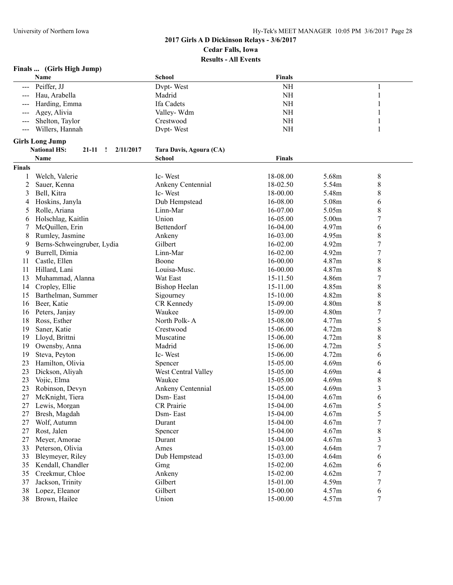## **Finals ... (Girls High Jump)**

|               | Name                                                      | <b>School</b>           | <b>Finals</b> |       |                  |  |
|---------------|-----------------------------------------------------------|-------------------------|---------------|-------|------------------|--|
|               | Peiffer, JJ                                               | Dvpt-West               | NH            |       | 1                |  |
|               | Hau, Arabella                                             | Madrid                  | $\rm NH$      |       | 1                |  |
|               | Harding, Emma                                             | Ifa Cadets              | NH            |       |                  |  |
|               | Agey, Alivia                                              | Valley-Wdm              | $\rm NH$      |       |                  |  |
| $---$         | Shelton, Taylor                                           | Crestwood               | $\rm NH$      |       | 1                |  |
| $---$         | Willers, Hannah                                           | Dvpt-West               | $\rm NH$      |       | 1                |  |
|               |                                                           |                         |               |       |                  |  |
|               | <b>Girls Long Jump</b>                                    |                         |               |       |                  |  |
|               | <b>National HS:</b><br>21-11<br>2/11/2017<br>$\mathbf{r}$ | Tara Davis, Agoura (CA) |               |       |                  |  |
|               | Name                                                      | School                  | <b>Finals</b> |       |                  |  |
| <b>Finals</b> |                                                           |                         |               |       |                  |  |
| 1             | Welch, Valerie                                            | Ic-West                 | 18-08.00      | 5.68m | $\,8\,$          |  |
| 2             | Sauer, Kenna                                              | Ankeny Centennial       | 18-02.50      | 5.54m | 8                |  |
| 3             | Bell, Kitra                                               | Ic-West                 | 18-00.00      | 5.48m | 8                |  |
| 4             | Hoskins, Janyla                                           | Dub Hempstead           | 16-08.00      | 5.08m | 6                |  |
| 5             | Rolle, Ariana                                             | Linn-Mar                | 16-07.00      | 5.05m | 8                |  |
| 6             | Holschlag, Kaitlin                                        | Union                   | 16-05.00      | 5.00m | 7                |  |
| 7             | McQuillen, Erin                                           | Bettendorf              | 16-04.00      | 4.97m | 6                |  |
| 8             | Rumley, Jasmine                                           | Ankeny                  | 16-03.00      | 4.95m | 8                |  |
| 9             | Berns-Schweingruber, Lydia                                | Gilbert                 | 16-02.00      | 4.92m | 7                |  |
| 9             | Burrell, Dimia                                            | Linn-Mar                | 16-02.00      | 4.92m | 7                |  |
| 11            | Castle, Ellen                                             | Boone                   | 16-00.00      | 4.87m | 8                |  |
| 11            | Hillard, Lani                                             | Louisa-Musc.            | 16-00.00      | 4.87m | 8                |  |
| 13            | Muhammad, Alanna                                          | Wat East                | 15-11.50      | 4.86m | $\overline{7}$   |  |
| 14            | Cropley, Ellie                                            | <b>Bishop Heelan</b>    | 15-11.00      | 4.85m | 8                |  |
| 15            | Barthelman, Summer                                        | Sigourney               | 15-10.00      | 4.82m | 8                |  |
| 16            | Beer, Katie                                               | CR Kennedy              | 15-09.00      | 4.80m | 8                |  |
| 16            | Peters, Janjay                                            | Waukee                  | 15-09.00      | 4.80m | 7                |  |
| 18            | Ross, Esther                                              | North Polk-A            | 15-08.00      | 4.77m | 5                |  |
| 19            | Saner, Katie                                              | Crestwood               | 15-06.00      | 4.72m | 8                |  |
| 19            | Lloyd, Brittni                                            | Muscatine               | 15-06.00      | 4.72m | 8                |  |
| 19            | Owensby, Anna                                             | Madrid                  | 15-06.00      | 4.72m | 5                |  |
| 19            | Steva, Peyton                                             | Ic-West                 | 15-06.00      | 4.72m | 6                |  |
| 23            | Hamilton, Olivia                                          | Spencer                 | 15-05.00      | 4.69m | 6                |  |
| 23            | Dickson, Aliyah                                           | West Central Valley     | 15-05.00      | 4.69m | 4                |  |
| 23            | Vojic, Elma                                               | Waukee                  | 15-05.00      | 4.69m | 8                |  |
| 23            | Robinson, Devyn                                           | Ankeny Centennial       | 15-05.00      | 4.69m | 3                |  |
| 27            | McKnight, Tiera                                           | Dsm-East                | 15-04.00      | 4.67m | 6                |  |
|               | 27 Lewis, Morgan                                          | CR Prairie              | 15-04.00      | 4.67m | 5                |  |
| 27            | Bresh, Magdah                                             | Dsm-East                | 15-04.00      | 4.67m | 5                |  |
| 27            | Wolf, Autumn                                              | Durant                  | 15-04.00      | 4.67m | $\boldsymbol{7}$ |  |
| 27            | Rost, Jalen                                               | Spencer                 | 15-04.00      | 4.67m | 8                |  |
| 27            | Meyer, Amorae                                             | Durant                  | 15-04.00      | 4.67m | 3                |  |
| 33            | Peterson, Olivia                                          | Ames                    | 15-03.00      | 4.64m | 7                |  |
| 33            | Bleymeyer, Riley                                          | Dub Hempstead           | 15-03.00      | 4.64m | 6                |  |
| 35            | Kendall, Chandler                                         | Gmg                     | 15-02.00      | 4.62m | 6                |  |
| 35            | Creekmur, Chloe                                           | Ankeny                  | 15-02.00      | 4.62m | 7                |  |
| 37            | Jackson, Trinity                                          | Gilbert                 | 15-01.00      | 4.59m | 7                |  |
| 38            | Lopez, Eleanor                                            | Gilbert                 | 15-00.00      | 4.57m | 6                |  |
| 38            | Brown, Hailee                                             | Union                   | 15-00.00      | 4.57m | $\tau$           |  |
|               |                                                           |                         |               |       |                  |  |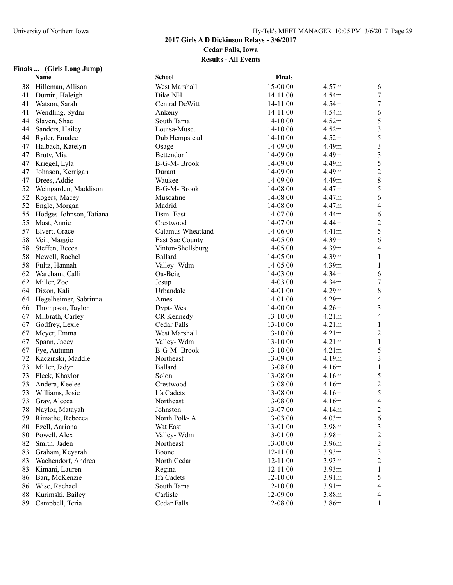#### **2017 Girls A D Dickinson Relays - 3/6/2017 Cedar Falls, Iowa**

**Results - All Events**

# **Finals ... (Girls Long Jump)**

|    | Name                    | <b>School</b>      | <b>Finals</b> |       |                         |  |
|----|-------------------------|--------------------|---------------|-------|-------------------------|--|
| 38 | Hilleman, Allison       | West Marshall      | 15-00.00      | 4.57m | 6                       |  |
| 41 | Durnin, Haleigh         | Dike-NH            | 14-11.00      | 4.54m | $\boldsymbol{7}$        |  |
| 41 | Watson, Sarah           | Central DeWitt     | 14-11.00      | 4.54m | $\overline{7}$          |  |
| 41 | Wendling, Sydni         | Ankeny             | 14-11.00      | 4.54m | 6                       |  |
| 44 | Slaven, Shae            | South Tama         | 14-10.00      | 4.52m | 5                       |  |
| 44 | Sanders, Hailey         | Louisa-Musc.       | 14-10.00      | 4.52m | $\overline{\mathbf{3}}$ |  |
| 44 | Ryder, Emalee           | Dub Hempstead      | 14-10.00      | 4.52m | 5                       |  |
| 47 | Halbach, Katelyn        | Osage              | 14-09.00      | 4.49m | 3                       |  |
| 47 | Bruty, Mia              | Bettendorf         | 14-09.00      | 4.49m | $\overline{\mathbf{3}}$ |  |
| 47 | Kriegel, Lyla           | <b>B-G-M-Brook</b> | 14-09.00      | 4.49m | 5                       |  |
| 47 | Johnson, Kerrigan       | Durant             | 14-09.00      | 4.49m | $\boldsymbol{2}$        |  |
| 47 | Drees, Addie            | Waukee             | 14-09.00      | 4.49m | 8                       |  |
| 52 | Weingarden, Maddison    | <b>B-G-M-Brook</b> | 14-08.00      | 4.47m | 5                       |  |
| 52 | Rogers, Macey           | Muscatine          | 14-08.00      | 4.47m | 6                       |  |
| 52 | Engle, Morgan           | Madrid             | 14-08.00      | 4.47m | 4                       |  |
| 55 | Hodges-Johnson, Tatiana | Dsm-East           | 14-07.00      | 4.44m | 6                       |  |
| 55 | Mast, Annie             | Crestwood          | 14-07.00      | 4.44m | $\overline{c}$          |  |
| 57 | Elvert, Grace           | Calamus Wheatland  | 14-06.00      | 4.41m | 5                       |  |
| 58 | Veit, Maggie            | East Sac County    | 14-05.00      | 4.39m | 6                       |  |
| 58 | Steffen, Becca          | Vinton-Shellsburg  | 14-05.00      | 4.39m | 4                       |  |
| 58 | Newell, Rachel          | <b>Ballard</b>     | 14-05.00      | 4.39m | 1                       |  |
| 58 | Fultz, Hannah           | Valley-Wdm         | 14-05.00      | 4.39m | 1                       |  |
| 62 | Wareham, Calli          | Oa-Beig            | 14-03.00      | 4.34m | 6                       |  |
| 62 | Miller, Zoe             | Jesup              | 14-03.00      | 4.34m | $\overline{7}$          |  |
| 64 | Dixon, Kali             | Urbandale          | 14-01.00      | 4.29m | 8                       |  |
| 64 | Hegelheimer, Sabrinna   | Ames               | 14-01.00      | 4.29m | 4                       |  |
| 66 | Thompson, Taylor        | Dypt-West          | 14-00.00      | 4.26m | 3                       |  |
| 67 | Milbrath, Carley        | CR Kennedy         | 13-10.00      | 4.21m | 4                       |  |
| 67 | Godfrey, Lexie          | Cedar Falls        | 13-10.00      | 4.21m | $\mathbf{1}$            |  |
| 67 | Meyer, Emma             | West Marshall      | 13-10.00      | 4.21m | $\overline{c}$          |  |
| 67 | Spann, Jacey            | Valley-Wdm         | 13-10.00      | 4.21m | 1                       |  |
| 67 | Fye, Autumn             | B-G-M- Brook       | 13-10.00      | 4.21m | 5                       |  |
| 72 | Kaczinski, Maddie       | Northeast          | 13-09.00      | 4.19m | $\overline{\mathbf{3}}$ |  |
| 73 | Miller, Jadyn           | Ballard            | 13-08.00      | 4.16m | 1                       |  |
| 73 | Fleck, Khaylor          | Solon              | 13-08.00      | 4.16m | 5                       |  |
| 73 | Andera, Keelee          | Crestwood          | 13-08.00      | 4.16m | $\boldsymbol{2}$        |  |
| 73 | Williams, Josie         | Ifa Cadets         | 13-08.00      | 4.16m | 5                       |  |
| 73 | Gray, Alecca            | Northeast          | 13-08.00      | 4.16m | 4                       |  |
| 78 | Naylor, Matayah         | Johnston           | 13-07.00      | 4.14m | $\overline{\mathbf{c}}$ |  |
| 79 | Rimathe, Rebecca        | North Polk-A       | 13-03.00      | 4.03m | 6                       |  |
| 80 | Ezell, Aariona          | Wat East           | 13-01.00      | 3.98m | 3                       |  |
| 80 | Powell, Alex            | Valley-Wdm         | 13-01.00      | 3.98m | $\overline{c}$          |  |
| 82 | Smith, Jaden            | Northeast          | 13-00.00      | 3.96m | $\overline{c}$          |  |
| 83 | Graham, Keyarah         | Boone              | 12-11.00      | 3.93m | $\overline{\mathbf{3}}$ |  |
| 83 | Wachendorf, Andrea      | North Cedar        | 12-11.00      | 3.93m | $\overline{c}$          |  |
| 83 | Kimani, Lauren          | Regina             | 12-11.00      | 3.93m | $\,1$                   |  |
| 86 | Barr, McKenzie          | Ifa Cadets         | $12 - 10.00$  | 3.91m | 5                       |  |
| 86 | Wise, Rachael           | South Tama         | 12-10.00      | 3.91m | 4                       |  |
| 88 | Kurimski, Bailey        | Carlisle           | 12-09.00      | 3.88m | 4                       |  |
| 89 | Campbell, Teria         | Cedar Falls        | 12-08.00      | 3.86m | 1                       |  |
|    |                         |                    |               |       |                         |  |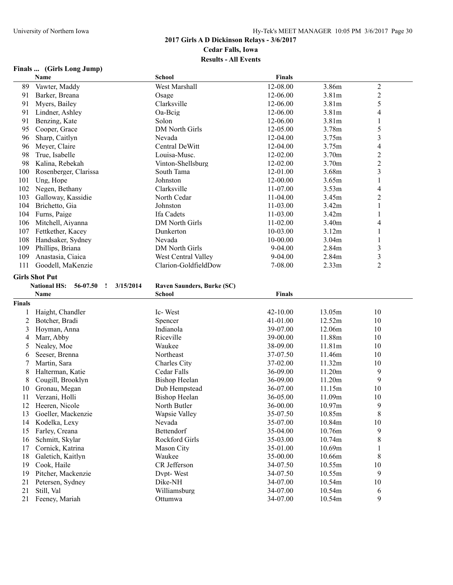# **Finals ... (Girls Long Jump)**

|               | Name                                                     | <b>School</b>              | <b>Finals</b>        |                   |                         |
|---------------|----------------------------------------------------------|----------------------------|----------------------|-------------------|-------------------------|
| 89            | Vawter, Maddy                                            | West Marshall              | 12-08.00             | 3.86m             | $\boldsymbol{2}$        |
| 91            | Barker, Breana                                           | Osage                      | 12-06.00             | 3.81m             | $\overline{c}$          |
| 91            | Myers, Bailey                                            | Clarksville                | 12-06.00             | 3.81m             | 5                       |
| 91            | Lindner, Ashley                                          | Oa-Beig                    | 12-06.00             | 3.81m             | 4                       |
| 91            | Benzing, Kate                                            | Solon                      | 12-06.00             | 3.81m             | 1                       |
| 95            | Cooper, Grace                                            | <b>DM North Girls</b>      | 12-05.00             | 3.78m             | 5                       |
| 96            | Sharp, Caitlyn                                           | Nevada                     | 12-04.00             | 3.75m             | $\overline{3}$          |
| 96            | Meyer, Claire                                            | Central DeWitt             | 12-04.00             | 3.75m             | $\overline{\mathbf{4}}$ |
| 98            | True, Isabelle                                           | Louisa-Musc.               | 12-02.00             | 3.70m             | $\overline{c}$          |
| 98            | Kalina, Rebekah                                          | Vinton-Shellsburg          | 12-02.00             | 3.70m             | $\overline{c}$          |
| 100           | Rosenberger, Clarissa                                    | South Tama                 | 12-01.00             | 3.68m             | $\overline{\mathbf{3}}$ |
| 101           | Ung, Hope                                                | Johnston                   | 12-00.00             | 3.65m             | $\,1\,$                 |
| 102           | Negen, Bethany                                           | Clarksville                | 11-07.00             | 3.53m             | 4                       |
| 103           | Galloway, Kassidie                                       | North Cedar                | 11-04.00             | 3.45m             | $\overline{2}$          |
| 104           | Brichetto, Gia                                           | Johnston                   | $11-03.00$           | 3.42m             | 1                       |
| 104           | Furns, Paige                                             | Ifa Cadets                 | 11-03.00             | 3.42m             | 1                       |
| 106           | Mitchell, Aiyanna                                        | DM North Girls             | $11-02.00$           | 3.40m             | 4                       |
| 107           | Fettkether, Kacey                                        | Dunkerton                  | 10-03.00             | 3.12m             | 1                       |
| 108           | Handsaker, Sydney                                        | Nevada                     | 10-00.00             | 3.04 <sub>m</sub> | 1                       |
| 109           | Phillips, Briana                                         | <b>DM North Girls</b>      | 9-04.00              | 2.84m             | $\overline{\mathbf{3}}$ |
| 109           | Anastasia, Ciaica                                        | West Central Valley        | 9-04.00              | 2.84m             | $\overline{\mathbf{3}}$ |
| 111           | Goodell, MaKenzie                                        | Clarion-GoldfieldDow       | 7-08.00              | 2.33m             | $\overline{2}$          |
|               |                                                          |                            |                      |                   |                         |
|               | <b>Girls Shot Put</b>                                    |                            |                      |                   |                         |
|               |                                                          |                            |                      |                   |                         |
|               | <b>National HS:</b><br>56-07.50<br>3/15/2014<br><u>!</u> | Raven Saunders, Burke (SC) |                      |                   |                         |
|               | Name                                                     | <b>School</b>              | Finals               |                   |                         |
| <b>Finals</b> |                                                          |                            |                      |                   |                         |
| 1             | Haight, Chandler                                         | Ic-West                    | 42-10.00             | 13.05m            | 10                      |
| 2             | Botcher, Bradi                                           | Spencer                    | 41-01.00             | 12.52m            | 10                      |
| 3             | Hoyman, Anna                                             | Indianola                  | 39-07.00             | 12.06m            | 10                      |
| 4             | Marr, Abby                                               | Riceville                  | 39-00.00             | 11.88m            | 10                      |
| 5             | Nealey, Moe                                              | Waukee                     | 38-09.00             | 11.81m            | 10                      |
| 6             | Seeser, Brenna                                           | Northeast                  | 37-07.50             | 11.46m            | 10                      |
| 7             | Martin, Sara                                             | Charles City               | 37-02.00             | 11.32m            | 10                      |
| 8             | Halterman, Katie                                         | Cedar Falls                | 36-09.00             | 11.20m            | 9                       |
| 8             | Cougill, Brooklyn                                        | <b>Bishop Heelan</b>       | 36-09.00             | 11.20m            | 9                       |
| 10            | Gronau, Megan                                            | Dub Hempstead              | 36-07.00             | 11.15m            | 10                      |
| 11            | Verzani, Holli                                           | <b>Bishop Heelan</b>       | 36-05.00             | 11.09m            | 10                      |
|               | 12 Heeren, Nicole                                        | North Butler               | 36-00.00             | 10.97m            | 9                       |
| 13            | Goeller, Mackenzie                                       | Wapsie Valley              | 35-07.50             | 10.85m            | 8                       |
| 14            | Kodelka, Lexy                                            | Nevada                     | 35-07.00             | 10.84m            | 10                      |
| 15            | Farley, Creana                                           | Bettendorf                 | 35-04.00             | 10.76m            | 9                       |
| 16            | Schmitt, Skylar                                          | Rockford Girls             | 35-03.00             | 10.74m            | 8                       |
| 17            | Cornick, Katrina                                         | Mason City                 | 35-01.00             | 10.69m            | 1                       |
| 18            | Galetich, Kaitlyn                                        | Waukee                     | 35-00.00             | 10.66m            | 8                       |
| 19            | Cook, Haile                                              | CR Jefferson               | 34-07.50             | 10.55m            | 10                      |
| 19            | Pitcher, Mackenzie                                       | Dvpt-West                  | 34-07.50             | 10.55m            | 9                       |
| 21            | Petersen, Sydney                                         | Dike-NH                    | 34-07.00             | 10.54m            | 10                      |
| 21<br>21      | Still, Val<br>Feeney, Mariah                             | Williamsburg<br>Ottumwa    | 34-07.00<br>34-07.00 | 10.54m<br>10.54m  | 6<br>9                  |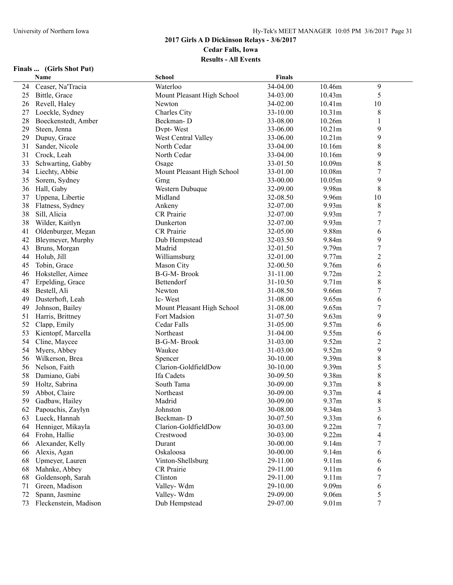#### **Finals ... (Girls Shot Put)**

|          | Name                               | <b>School</b>              | <b>Finals</b>        |                |                          |  |
|----------|------------------------------------|----------------------------|----------------------|----------------|--------------------------|--|
| 24       | Ceaser, Na'Tracia                  | Waterloo                   | 34-04.00             | 10.46m         | 9                        |  |
| 25       | Bittle, Grace                      | Mount Pleasant High School | 34-03.00             | 10.43m         | 5                        |  |
| 26       | Revell, Haley                      | Newton                     | 34-02.00             | 10.41m         | 10                       |  |
| 27       | Loeckle, Sydney                    | Charles City               | 33-10.00             | 10.31m         | 8                        |  |
| 28       | Boeckenstedt, Amber                | Beckman-D                  | 33-08.00             | 10.26m         |                          |  |
| 29       | Steen, Jenna                       | Dvpt-West                  | 33-06.00             | 10.21m         | 9                        |  |
| 29       | Dupuy, Grace                       | West Central Valley        | 33-06.00             | 10.21m         | 9                        |  |
| 31       | Sander, Nicole                     | North Cedar                | 33-04.00             | 10.16m         | $\,$ $\,$                |  |
| 31       | Crock, Leah                        | North Cedar                | 33-04.00             | 10.16m         | 9                        |  |
| 33       | Schwarting, Gabby                  | Osage                      | 33-01.50             | 10.09m         | $\,$ $\,$                |  |
| 34       | Liechty, Abbie                     | Mount Pleasant High School | 33-01.00             | 10.08m         | $\boldsymbol{7}$         |  |
| 35       | Sorem, Sydney                      | Gme                        | 33-00.00             | 10.05m         | 9                        |  |
| 36       | Hall, Gaby                         | Western Dubuque            | 32-09.00             | 9.98m          | 8                        |  |
| 37       | Uppena, Libertie                   | Midland                    | 32-08.50             | 9.96m          | 10                       |  |
| 38       | Flatness, Sydney                   | Ankeny                     | 32-07.00             | 9.93m          | $\,$ $\,$                |  |
| 38       | Sill, Alicia                       | CR Prairie                 | 32-07.00             | 9.93m          | $\boldsymbol{7}$         |  |
| 38       | Wilder, Kaitlyn                    | Dunkerton                  | 32-07.00             | 9.93m          | $\boldsymbol{7}$         |  |
| 41       | Oldenburger, Megan                 | CR Prairie                 | 32-05.00             | 9.88m          | 6                        |  |
| 42       | Bleymeyer, Murphy                  | Dub Hempstead              | 32-03.50             | 9.84m          | 9                        |  |
| 43       | Bruns, Morgan                      | Madrid                     | 32-01.50             | 9.79m          | $\overline{7}$           |  |
| 44       | Holub, Jill                        | Williamsburg               | 32-01.00             | 9.77m          | $\overline{2}$           |  |
| 45       | Tobin, Grace                       | Mason City                 | 32-00.50             | 9.76m          | 6                        |  |
| 46       | Hoksteller, Aimee                  | <b>B-G-M-Brook</b>         | 31-11.00             | 9.72m          | $\overline{c}$           |  |
| 47       | Erpelding, Grace                   | Bettendorf                 | 31-10.50             | 9.71m          | $\,8\,$                  |  |
| 48       | Bestell, Ali                       | Newton                     | 31-08.50             | 9.66m          | $\boldsymbol{7}$         |  |
| 49       | Dusterhoft, Leah                   | Ic-West                    | 31-08.00             | 9.65m          | 6                        |  |
| 49       | Johnson, Bailey                    | Mount Pleasant High School | 31-08.00             | 9.65m          | $\boldsymbol{7}$         |  |
| 51       | Harris, Brittney                   | Fort Madsion               | 31-07.50             | 9.63m          | 9                        |  |
| 52       | Clapp, Emily                       | Cedar Falls                | 31-05.00             | 9.57m          | 6                        |  |
| 53       | Kientopf, Marcella                 | Northeast                  | 31-04.00             | 9.55m          | 6                        |  |
| 54       | Cline, Maycee                      | B-G-M-Brook                | 31-03.00             | 9.52m          | $\overline{2}$           |  |
| 54       | Myers, Abbey                       | Waukee                     | 31-03.00             | 9.52m          | 9                        |  |
| 56       | Wilkerson, Brea                    | Spencer                    | 30-10.00             | 9.39m          | $\,$ $\,$                |  |
| 56       | Nelson, Faith                      | Clarion-GoldfieldDow       | 30-10.00             | 9.39m          | 5                        |  |
| 58       | Damiano, Gabi                      | Ifa Cadets                 | 30-09.50             | 9.38m          | 8                        |  |
| 59       | Holtz, Sabrina                     | South Tama                 | 30-09.00             | 9.37m          | $\,$ $\,$                |  |
| 59       | Abbot, Claire                      | Northeast                  | 30-09.00             | 9.37m          | $\overline{\mathcal{L}}$ |  |
| 59       | Gadbaw, Hailey                     | Madrid                     | 30-09.00             | 9.37m          | 8                        |  |
|          | Papouchis, Zaylyn                  |                            | 30-08.00             | 9.34m          |                          |  |
| 62<br>63 |                                    | Johnston<br>Beckman-D      | 30-07.50             | 9.33m          | 3<br>6                   |  |
| 64       | Lueck, Hannah<br>Henniger, Mikayla | Clarion-GoldfieldDow       | 30-03.00             | 9.22m          | 7                        |  |
|          |                                    | Crestwood                  |                      | 9.22m          |                          |  |
| 64<br>66 | Frohn, Hallie<br>Alexander, Kelly  | Durant                     | 30-03.00<br>30-00.00 | 9.14m          | 4<br>7                   |  |
|          |                                    |                            |                      | 9.14m          |                          |  |
| 66       | Alexis, Agan                       | Oskaloosa                  | 30-00.00             |                | 6                        |  |
| 68       | Upmeyer, Lauren                    | Vinton-Shellsburg          | 29-11.00             | 9.11m          | 6                        |  |
| 68       | Mahnke, Abbey                      | CR Prairie<br>Clinton      | 29-11.00<br>29-11.00 | 9.11m<br>9.11m | 6                        |  |
| 68       | Goldensoph, Sarah                  |                            | 29-10.00             |                | 7                        |  |
| 71       | Green, Madison                     | Valley-Wdm                 | 29-09.00             | 9.09m          | 6                        |  |
| 72       | Spann, Jasmine                     | Valley-Wdm                 |                      | 9.06m          | 5<br>$\boldsymbol{7}$    |  |
| 73       | Fleckenstein, Madison              | Dub Hempstead              | 29-07.00             | 9.01m          |                          |  |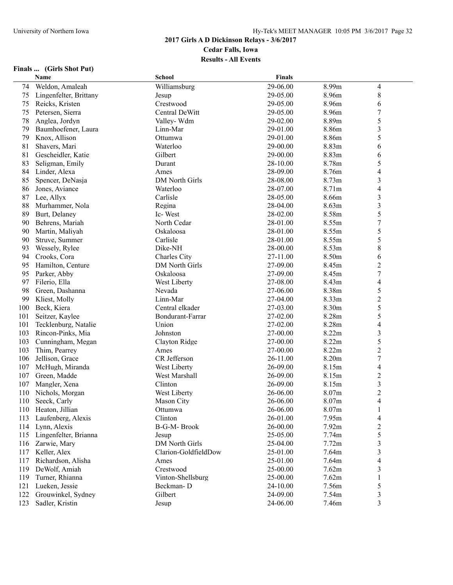#### **Finals ... (Girls Shot Put)**

|     | Name                   | <b>School</b>         | <b>Finals</b> |       |                          |  |
|-----|------------------------|-----------------------|---------------|-------|--------------------------|--|
| 74  | Weldon, Amaleah        | Williamsburg          | 29-06.00      | 8.99m | $\overline{4}$           |  |
| 75  | Lingenfelter, Brittany | Jesup                 | 29-05.00      | 8.96m | $\,$ $\,$                |  |
| 75  | Reicks, Kristen        | Crestwood             | 29-05.00      | 8.96m | 6                        |  |
| 75  | Petersen, Sierra       | Central DeWitt        | 29-05.00      | 8.96m | $\boldsymbol{7}$         |  |
| 78  | Anglea, Jordyn         | Valley-Wdm            | 29-02.00      | 8.89m | 5                        |  |
| 79  | Baumhoefener, Laura    | Linn-Mar              | 29-01.00      | 8.86m | $\overline{\mathbf{3}}$  |  |
| 79  | Knox, Allison          | Ottumwa               | 29-01.00      | 8.86m | 5                        |  |
| 81  | Shavers, Mari          | Waterloo              | 29-00.00      | 8.83m | 6                        |  |
| 81  | Gescheidler, Katie     | Gilbert               | 29-00.00      | 8.83m | 6                        |  |
| 83  | Seligman, Emily        | Durant                | 28-10.00      | 8.78m | 5                        |  |
| 84  | Linder, Alexa          | Ames                  | 28-09.00      | 8.76m | $\overline{\mathcal{L}}$ |  |
| 85  | Spencer, DeNasja       | <b>DM North Girls</b> | 28-08.00      | 8.73m | $\mathfrak{Z}$           |  |
| 86  | Jones, Aviance         | Waterloo              | 28-07.00      | 8.71m | $\overline{\mathcal{L}}$ |  |
| 87  | Lee, Allyx             | Carlisle              | 28-05.00      | 8.66m | $\overline{\mathbf{3}}$  |  |
| 88  | Murhammer, Nola        | Regina                | 28-04.00      | 8.63m | 3                        |  |
| 89  |                        | Ic-West               | 28-02.00      | 8.58m | 5                        |  |
| 90  | Burt, Delaney          | North Cedar           | 28-01.00      | 8.55m | $\overline{7}$           |  |
|     | Behrens, Mariah        |                       |               |       |                          |  |
| 90  | Martin, Maliyah        | Oskaloosa             | 28-01.00      | 8.55m | 5                        |  |
| 90  | Struve, Summer         | Carlisle              | 28-01.00      | 8.55m | 5                        |  |
| 93  | Wessely, Rylee         | Dike-NH               | 28-00.00      | 8.53m | $\,$ $\,$                |  |
| 94  | Crooks, Cora           | Charles City          | 27-11.00      | 8.50m | 6                        |  |
| 95  | Hamilton, Centure      | <b>DM North Girls</b> | 27-09.00      | 8.45m | $\overline{2}$           |  |
| 95  | Parker, Abby           | Oskaloosa             | 27-09.00      | 8.45m | $\boldsymbol{7}$         |  |
| 97  | Filerio, Ella          | West Liberty          | 27-08.00      | 8.43m | $\overline{4}$           |  |
| 98  | Green, Dashanna        | Nevada                | 27-06.00      | 8.38m | 5                        |  |
| 99  | Kliest, Molly          | Linn-Mar              | 27-04.00      | 8.33m | $\overline{\mathbf{c}}$  |  |
| 100 | Beck, Kiera            | Central elkader       | 27-03.00      | 8.30m | 5                        |  |
| 101 | Seitzer, Kaylee        | Bondurant-Farrar      | 27-02.00      | 8.28m | 5                        |  |
| 101 | Tecklenburg, Natalie   | Union                 | 27-02.00      | 8.28m | $\overline{4}$           |  |
| 103 | Rincon-Pinks, Mia      | Johnston              | 27-00.00      | 8.22m | $\mathfrak{Z}$           |  |
| 103 | Cunningham, Megan      | Clayton Ridge         | 27-00.00      | 8.22m | 5                        |  |
| 103 | Thim, Pearrey          | Ames                  | 27-00.00      | 8.22m | $\overline{c}$           |  |
| 106 | Jellison, Grace        | CR Jefferson          | 26-11.00      | 8.20m | $\sqrt{ }$               |  |
| 107 | McHugh, Miranda        | West Liberty          | 26-09.00      | 8.15m | $\overline{\mathcal{L}}$ |  |
| 107 | Green, Madde           | West Marshall         | 26-09.00      | 8.15m | $\overline{c}$           |  |
| 107 | Mangler, Xena          | Clinton               | 26-09.00      | 8.15m | $\mathfrak{Z}$           |  |
| 110 | Nichols, Morgan        | West Liberty          | 26-06.00      | 8.07m | $\overline{c}$           |  |
| 110 | Seeck, Carly           | Mason City            | 26-06.00      | 8.07m | $\overline{4}$           |  |
| 110 | Heaton, Jillian        | Ottumwa               | 26-06.00      | 8.07m | $\mathbf{I}$             |  |
| 113 | Laufenberg, Alexis     | Clinton               | 26-01.00      | 7.95m | $\overline{\mathcal{L}}$ |  |
| 114 | Lynn, Alexis           | B-G-M-Brook           | 26-00.00      | 7.92m | $\overline{c}$           |  |
| 115 | Lingenfelter, Brianna  | Jesup                 | 25-05.00      | 7.74m | 5                        |  |
| 116 | Zarwie, Mary           | <b>DM North Girls</b> | 25-04.00      | 7.72m | $\mathfrak{Z}$           |  |
| 117 | Keller, Alex           | Clarion-GoldfieldDow  | 25-01.00      | 7.64m | $\overline{\mathbf{3}}$  |  |
| 117 | Richardson, Alisha     | Ames                  | 25-01.00      | 7.64m | $\overline{\mathcal{L}}$ |  |
| 119 | DeWolf, Amiah          | Crestwood             | 25-00.00      | 7.62m | $\mathfrak{Z}$           |  |
| 119 | Turner, Rhianna        | Vinton-Shellsburg     | 25-00.00      | 7.62m | 1                        |  |
| 121 | Lueken, Jessie         | Beckman-D             | 24-10.00      | 7.56m | 5                        |  |
| 122 | Grouwinkel, Sydney     | Gilbert               | 24-09.00      | 7.54m | $\mathfrak{Z}$           |  |
| 123 | Sadler, Kristin        | Jesup                 | 24-06.00      | 7.46m | 3                        |  |
|     |                        |                       |               |       |                          |  |